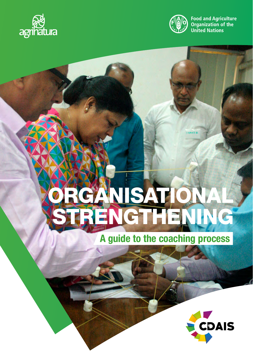



**Food and Agriculture Organization of the United Nations** 

# Organisational STRENGTHENING

# A guide to the coaching process

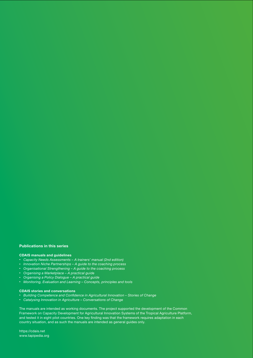#### Publications in this series

#### CDAIS manuals and guidelines

- • *Capacity Needs Assessments A trainers' manual (2nd edition)*
- • *Innovation Niche Partnerships A guide to the coaching process*
- • *Organisational Strengthening A guide to the coaching process*
- • *Organising a Marketplace A practical guide*
- • *Organising a Policy Dialogue A practical guide*
- • *Monitoring, Evaluation and Learning Concepts, principles and tools*

#### CDAIS stories and conversations

- • *Building Competence and Confidence in Agricultural Innovation Stories of Change*
- • *Catalysing Innovation in Agriculture Conversations of Change*

The manuals are intended as working documents. The project supported the development of the Common Framework on Capacity Development for Agricultural Innovation Systems of the Tropical Agriculture Platform, and tested it in eight pilot countries. One key finding was that the framework requires adaptation in each country situation, and as such the manuals are intended as general guides only.

https://cdais.net www.tapipedia.org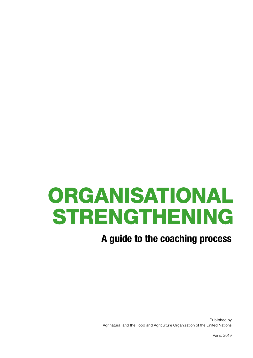# **ORGANISATIONAL STRENGTHENING**

# A guide to the coaching process

Published by Agrinatura, and the Food and Agriculture Organization of the United Nations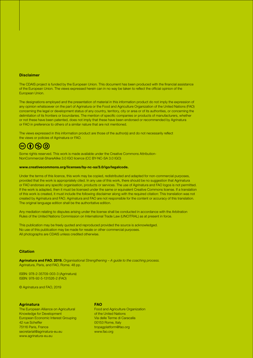#### **Disclaimer**

The CDAIS project is funded by the European Union. This document has been produced with the financial assistance of the European Union. The views expressed herein can in no way be taken to reflect the official opinion of the European Union.

The designations employed and the presentation of material in this information product do not imply the expression of any opinion whatsoever on the part of Agrinatura or the Food and Agriculture Organization of the United Nations (FAO) concerning the legal or development status of any country, territory, city or area or of its authorities, or concerning the delimitation of its frontiers or boundaries. The mention of specific companies or products of manufacturers, whether or not these have been patented, does not imply that these have been endorsed or recommended by Agrinatura or FAO in preference to others of a similar nature that are not mentioned.

The views expressed in this information product are those of the author(s) and do not necessarily reflect the views or policies of Agrinatura or FAO.

## $\mathcal{L}(\mathbf{t})$

Some rights reserved. This work is made available under the Creative Commons Attribution-NonCommercial-ShareAlike 3.0 IGO licence (CC BY-NC-SA 3.0 IGO)

#### www.creativecommons.org/licenses/by-nc-sa/3.0/igo/legalcode.

Under the terms of this licence, this work may be copied, redistributed and adapted for non-commercial purposes, provided that the work is appropriately cited. In any use of this work, there should be no suggestion that Agrinatura or FAO endorses any specific organisation, products or services. The use of Agrinatura and FAO logos is not permitted. If the work is adapted, then it must be licensed under the same or equivalent Creative Commons license. If a translation of this work is created, it must include the following disclaimer along with the required citation: This translation was not created by Agrinatura and FAO. Agrinatura and FAO are not responsible for the content or accuracy of this translation. The original language edition shall be the authoritative edition.

Any mediation relating to disputes arising under the license shall be conducted in accordance with the Arbitration Rules of the United Nations Commission on International Trade Law (UNCITRAL) as at present in force.

This publication may be freely quoted and reproduced provided the source is acknowledged. No use of this publication may be made for resale or other commercial purposes. All photographs are CDAIS unless credited otherwise.

#### **Citation**

Agrinatura and FAO. 2019. *Organisational Strengthening – A guide to the coaching process.* Agrinatura, Paris, and FAO, Rome. 48 pp.

ISBN: 978-2-35709-003-3 (Agrinatura) ISBN: 978-92-5-131526-2 (FAO)

© Agrinatura and FAO, 2019

#### **Agrinatura**

The European Alliance on Agricultural Knowledge for Development European Economic Interest Grouping 42 rue Scheffer 75116 Paris, France secretariat@agrinatura-eu.eu www.agrinatura-eu.eu

#### FAO

Food and Agriculture Organization of the United Nations Via delle Terme di Caracalla 00153 Rome, Italy tropagplatform@fao.org www.fao.org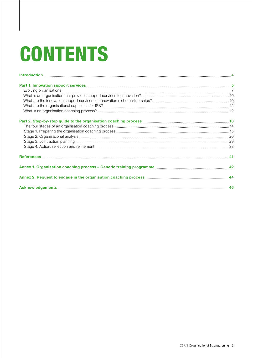# **CONTENTS**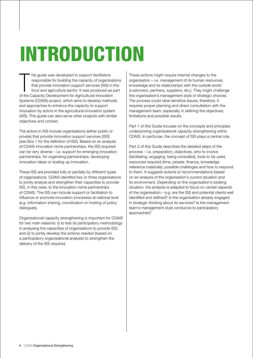# **INTRODUCTION**

his guide was developed to support facilitators<br>responsible for building the capacity of organisat<br>that provide innovation support services (ISS) in<br>food and agriculture sector. It was produced as por<br>the Capacity Developm his guide was developed to support facilitators responsible for building the capacity of organisations that provide innovation support services (ISS) in the food and agriculture sector. It was produced as part Systems (CDAIS) project, which aims to develop methods and approaches to enhance the capacity to support innovation by actors in the agricultural innovation system (AIS). This guide can also serve other projects with similar objectives and context.

The actors in AIS include organisations (either public or private) that provide innovation support services (ISS) (see Box 1 for the definition of ISS). Based on an analysis of CDAIS innovation niche partnerships, the ISS required can be very diverse – i.e. support for emerging innovation partnerships, for organising partnerships, developing innovation ideas or scaling up innovation.

These ISS are provided fully or partially by different types of organisations. CDAIS identifed two or three organisations to jointly analyse and strengthen their capacities to provide ISS, in this case, to the innovation niche partnerships of CDAIS. The ISS can include support or facilitation to influence or promote innovation processes at national level (e.g. information sharing, coordination or hosting of policy dialogues).

Organisational capacity strengthening is important for CDAIS for two main reasons: (i) to test its participatory methodology in analysing the capacities of organisations to provide ISS; and (ii) to jointly develop the actions needed (based on a participatory organisational analysis) to strengthen the delivery of the ISS required.

These actions might require internal changes to the organisation – i.e. management of its human resources, knowledge and its relationships with the outside world (customers, partners, suppliers, etc.). They might challenge the organisation's management style or strategic choices. The process could raise sensitive issues; therefore, it requires proper planning and direct consultation with the management team, especially in defining the objectives, limitations and possible results.

Part 1 of this Guide focuses on the concepts and principles underpinning organisational capacity strengthening within CDAIS. In particular, the concept of ISS plays a central role.

Part 2 of this Guide describes the detailed steps of the process – i.e. preparation, objectives, who to involve (facilitating, engaging, being consulted), tools to be used, resources required (time, people, finance, knowledge reference materials), possible challenges and how to respond to them. It suggests actions or recommendations based on an analysis of the organisation's current situation and its environment. Depending on the organisation's existing situation, the analysis is adapted to focus on certain aspects of the organisation – e.g. are the ISS and potential clients well identified and defined? Is the organisation already engaged in strategic thinking about its services? Is the management team's management style conducive to participatory approaches?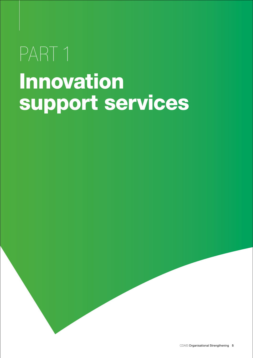# PART 1 Innovation support services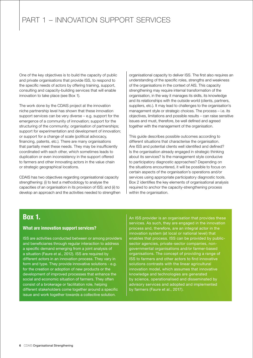One of the key objectives is to build the capacity of public and private organisations that provide ISS, to respond to the specific needs of actors by offering training, support, consulting and capacity-building services that will enable innovation to take place (see Box 1).

The work done by the CDAIS project at the innovation niche partnership level has shown that these innovation support services can be very diverse – e.g. support for the emergence of a community of innovation; support for the structuring of the community; organisation of partnerships; support for experimentation and development of innovation; or support for a change of scale (political advocacy, financing, patents, etc.). There are many organisations that partially meet these needs. They may be insufficiently coordinated with each other, which sometimes leads to duplication or even inconsistency in the support offered to farmers and other innovating actors in the value chain or strategic geographical locations.

CDAIS has two objectives regarding organisational capacity strengthening: (i) to test a methodology to analyse the capacities of an organisation in its provision of ISS; and (ii) to develop an approach and the activities needed to strengthen organisational capacity to deliver ISS. The first also requires an understanding of the specific roles, strengths and weakness of the organisations in the context of AIS. This capacity strengthening may require internal transformation of the organisation, in the way it manages its skills, its knowledge and its relationships with the outside world (clients, partners, suppliers, etc.). It may lead to challenges to the organisation's management style or strategic choices. The process – i.e. its objectives, limitations and possible results – can raise sensitive issues and must, therefore, be well defined and agreed together with the management of the organisation.

This guide describes possible outcomes according to different situations that characterise the organisation. Are ISS and potential clients well identified and defined? Is the organisation already engaged in strategic thinking about its services? Is the management style conducive to participatory diagnostic approaches? Depending on the situations encountered, it will be possible to focus on certain aspects of the organisation's operations and/or services using appropriate participatory diagnostic tools. Box 2 identifies the key elements of organisational analysis required to anchor the capacity-strengthening process within the organisation.

## Box 1.

## What are innovation support services?

ISS are activities conducted between or among providers and beneficiaries through regular interaction to address a specific demand emerging from a joint analysis of a situation (Faure et al., 2012). ISS are required by different actors in an innovation process. They vary in form and type. They provide innovative solutions - e.g. for the creation or adoption of new products or the development of improved processes that enhance the social and economic situation of farmers. They often consist of a brokerage or facilitation role, helping different stakeholders come together around a specific issue and work together towards a collective solution.

An ISS provider is an organisation that provides these services. As such, they are engaged in the innovation process and, therefore, are an integral actor in the innovation system (at local or national level) that enables that process. ISS can be provided by publicsector agencies, private-sector companies, nongovernmental organisations and/or farmer-based organisations. The concept of providing a range of ISS to farmers and other actors to find innovative solutions contrasts with the linear agricultural innovation model, which assumes that innovative knowledge and technologies are generated by science, operationalised and disseminated by advisory services and adopted and implemented by farmers (Faure et al., 2017).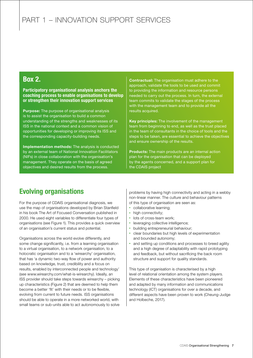## Box 2.

Participatory organisational analysis anchors the coaching process to enable organisations to develop or strengthen their innovation support services

Purpose: The purpose of organisational analysis is to assist the organisation to build a common understanding of the strengths and weaknesses of its ISS in the national context and a common vision of opportunities for developing or improving its ISS and the corresponding capacity-building needs.

Implementation methods: The analysis is conducted by an external team of National Innovation Facilitators (NIFs) in close collaboration with the organisation's management. They operate on the basis of agreed objectives and desired results from the process.

Contractual: The organisation must adhere to the approach, validate the tools to be used and commit to providing the information and resource persons needed to carry out the process. In turn, the external team commits to validate the stages of the process with the management team and to provide all the results acquired.

Key principles: The involvement of the management team from beginning to end, as well as the trust placed in the team of consultants in the choice of tools and the steps to be taken, are essential to achieve the objectives and ensure ownership of the results.

Products: The main products are an internal action plan for the organisation that can be deployed by the agents concerned, and a support plan for the CDAIS project

## Evolving organisations

For the purpose of CDAIS organisational diagnosis, we use the map of organisations developed by Brian Stanfield in his book The Art of Focused Conversation published in 2000. He used eight variables to differentiate four types of organisations (see Figure 1). This provides a quick overview of an organisation's current status and potential.

Organisations across the world evolve differently, and some change significantly, i.e. from a learning organisation to a virtual organisation, to a network organisation, to a holocratic organisation and to a 'wirearchy' organisation, that has 'a dynamic two-way flow of power and authority based on knowledge, trust, credibility and a focus on results, enabled by interconnected people and technology' (see www.wirearchy.com/what-is-wirearchy). Ideally, an ISS provider should take steps towards wirearchy – picking up characteristics (Figure 2) that are deemed to help them become a better 'fit' with their needs or to be flexible, evolving from current to future needs. ISS organisations should be able to operate in a more networked world, with small teams or sub-units able to act autonomously to solve

problems by having high connectivity and acting in a webby non-linear manner. The culture and behaviour patterns of this type of organisation are seen as:

- collaborative learning:
- high connectivity:
- lots of cross-team work:
- leveraging collective intelligence;
- building entrepreneurial behaviour;
- clear boundaries but high levels of experimentation and bounded autonomy;
- and setting up conditions and processes to breed agility and a high degree of adaptability with rapid prototyping and feedback, but without sacrificing the back room structure and support for quality standards.

This type of organisation is characterised by a high level of relational orientation among the system players. Elements of these characteristics have been pioneered and adapted by many information and communications technology (ICT) organisations for over a decade, and different aspects have been proven to work (Cheung-Judge and Holbeche, 2017).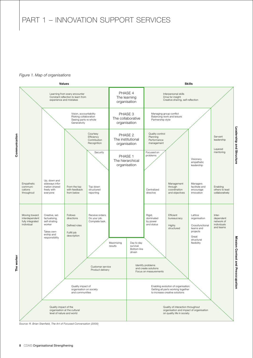#### *Figure 1. Map of organisations*



*Source: R. Brian Stanfield, The Art of Focused Conversation (2000)*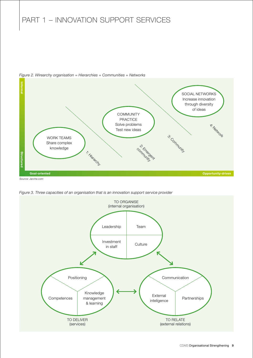

*Figure 2. Wirearchy organisation = Hierarchies + Communities + Networks*

*Figure 3. Three capacities of an organisation that is an innovation support service provider* 

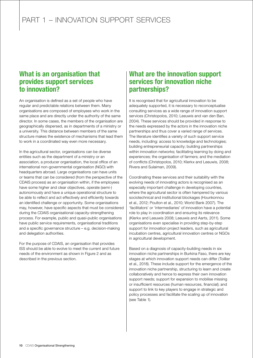## What is an organisation that provides support services to innovation?

An organisation is defined as a set of people who have regular and predictable relations between them. Many organisations are composed of employees who work in the same place and are directly under the authority of the same director. In some cases, the members of the organisation are geographically dispersed, as in departments of a ministry or a university. This distance between members of the same structure makes the existence of mechanisms that lead them to work in a coordinated way even more necessary.

In the agricultural sector, organisations can be diverse entities such as the department of a ministry or an association, a producer organisation, the local office of an international non-governmental organisation (NGO) with headquarters abroad. Large organisations can have units or teams that can be considered (from the perspective of the CDAIS process) as an organisation within, if the employees have some higher and clear objectives, operate (semi-) autonomously and have a unique operational structure to be able to reflect and act effectively and efficiently towards an identified challenge or opportunity. Some organisations may, however, have specific aspects that must be considered during the CDAIS organisational capacity-strengthening process. For example, public and quasi-public organisations have public service requirements, organisational traditions and a specific governance structure – e.g. decision-making and delegation authorities.

For the purpose of CDAIS, an organisation that provides ISS should be able to evolve to meet the current and future needs of the environment as shown in Figure 2 and as described in the previous section.

## What are the innovation support services for innovation niche partnerships?

It is recognised that for agricultural innovation to be adequately supported, it is necessary to reconceptualise consulting services as a wide range of innovation support services (Christopolos, 2010; Leeuwis and van den Ban, 2004). These services should be provided in response to the needs expressed by the actors in the innovation niche partnerships and thus cover a varied range of services. The literature identifies a variety of such support service needs, including: access to knowledge and technologies; building entrepreneurial capacity; building partnerships within innovation networks; facilitating learning by doing and experiences; the organisation of farmers; and the mediation of conflicts (Christopolos, 2010; Klerkx and Leeuwis, 2008; Rivera and Sulaiman, 2009).

Coordinating these services and their suitability with the evolving needs of innovating actors is recognised as an especially important challenge in developing countries, where the agricultural sector is often hampered by various sociotechnical and institutional blockages (Hounkonnou et al., 2012; Poulton et al., 2010; World Bank 2007). The 'facilitators' or 'intermediaries' of innovation have a potential role to play in coordination and ensuring its relevance (Klerkx and Leeuwis 2008; Leeuwis and Aarts, 2011). Some organisations even specialise in providing step-by-step support for innovation project leaders, such as agricultural incubation centres, agricultural innovation centres or NGOs in agricultural development.

Based on a diagnosis of capacity-building needs in six innovation niche partnerships in Burkina Faso, there are key stages at which innovation support needs can differ (Toillier et al., 2018). These include support for the emergence of the innovation niche partnership, structuring to learn and create collaboratively and hence to express their own innovation support needs; support for expansion to mobilise missing or insufficient resources (human resources, financial); and support to link to key players to engage in strategic and policy processes and facilitate the scaling up of innovation (see Table 1).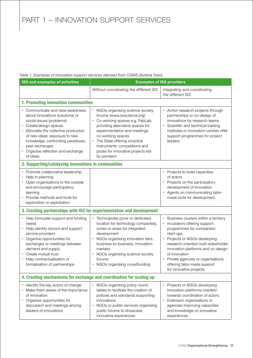#### *Table 1. Examples of innovation support services (derived from CDAIS-Burkina Faso)*

| ISS and examples of activities                                                                                                                                                                                                                                                                         |                                                                                                                                                                                                                                                                                                                                | <b>Examples of ISS providers</b>                                                                                                                                                                                                                                                                                                             |  |  |  |  |
|--------------------------------------------------------------------------------------------------------------------------------------------------------------------------------------------------------------------------------------------------------------------------------------------------------|--------------------------------------------------------------------------------------------------------------------------------------------------------------------------------------------------------------------------------------------------------------------------------------------------------------------------------|----------------------------------------------------------------------------------------------------------------------------------------------------------------------------------------------------------------------------------------------------------------------------------------------------------------------------------------------|--|--|--|--|
|                                                                                                                                                                                                                                                                                                        | Without coordinating the different ISS                                                                                                                                                                                                                                                                                         | Integrating and coordinating<br>the different ISS                                                                                                                                                                                                                                                                                            |  |  |  |  |
|                                                                                                                                                                                                                                                                                                        | 1. Promoting innovation communities                                                                                                                                                                                                                                                                                            |                                                                                                                                                                                                                                                                                                                                              |  |  |  |  |
| Communicate and raise awareness<br>about innovations (solutions) or<br>social issues (problems)<br>Create/design spaces<br>Stimulate the collective production<br>of new ideas: exposure to new<br>knowledge, confronting paradoxes,<br>peer exchanges<br>Organise reflection and exchange<br>of ideas | • NGOs organising science-society<br>forums (www.soscience.org)<br>Co-working spaces e.g. FabLab,<br>providing alternative spaces for<br>experimentation and meetings:<br>co-working spaces<br>The State offering incentive<br>$\bullet$<br>instruments: competitions and<br>prizes for innovative projects led<br>by pioneers | • Action research projects through<br>partnerships or co-design of<br>innovations by research teams<br>Scientific and technical training<br>institutes or innovation centres offer<br>support programmes for project<br>leaders                                                                                                              |  |  |  |  |
| 2. Supporting/catalysing innovations in communities                                                                                                                                                                                                                                                    |                                                                                                                                                                                                                                                                                                                                |                                                                                                                                                                                                                                                                                                                                              |  |  |  |  |
| • Promote collaborative leadership<br>Help in planning<br>Open organisations to the outside<br>and encourage participatory<br>learning<br>Provide methods and tools for<br>exploration or exploitation                                                                                                 |                                                                                                                                                                                                                                                                                                                                | • Projects to build capacities<br>of actors<br>• Projects on the participatory<br>development of innovation<br>• Agents on communicating tailor-<br>made tools for development.                                                                                                                                                              |  |  |  |  |
| 3. Creating partnerships with ISS for experimentation and development                                                                                                                                                                                                                                  |                                                                                                                                                                                                                                                                                                                                |                                                                                                                                                                                                                                                                                                                                              |  |  |  |  |
| • Help formulate support and funding<br>needs<br>Help identify donors and support<br>service providers<br>Organise opportunities for<br>exchanges or meetings between<br>demand and supply<br>Create mutual trust<br>Help contractualisation or<br>formalisation of partnerships                       | • Technopoles (zone or dedicated<br>location for technology companies),<br>zones or areas for integrated<br>development<br>NGOs organising innovation fairs,<br>business-to-business, innovation<br>markets<br>NGOs organising science-society<br>forums<br>• NGOs organising crowdfunding                                     | Business clusters within a territory<br>Incubators offering support<br>programmes for companies/<br>start-ups<br>• Projects or NGOs developing<br>research-oriented multi-stakeholder<br>innovation platforms and co-design<br>of innovation<br>Private agencies or organisations<br>offering tailor-made support<br>for innovative projects |  |  |  |  |
| 4. Creating mechanisms for exchange and coordination for scaling up                                                                                                                                                                                                                                    |                                                                                                                                                                                                                                                                                                                                |                                                                                                                                                                                                                                                                                                                                              |  |  |  |  |
| Identify the key actors of change<br>Make them aware of the importance<br>of innovation<br>Organise opportunities for<br>discussion and meetings among<br>leaders of innovations                                                                                                                       | NGOs organising policy round<br>tables to facilitate the creation of<br>policies and standards supporting<br>innovations<br>NGOs or public services organising<br>public forums to showcase<br>innovative experiences                                                                                                          | • Projects or NGOs developing<br>innovation platforms oriented<br>towards coordination of actors<br>• Extension organisations or<br>agencies improving capacities<br>and knowledge on innovative<br>experiences                                                                                                                              |  |  |  |  |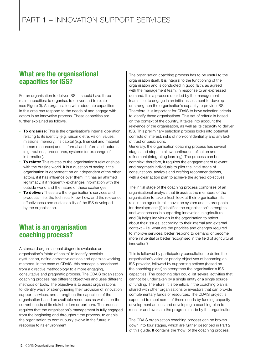## What are the organisational capacities for ISS?

For an organisation to deliver ISS, it should have three main capacities: to organise, to deliver and to relate (see Figure 3). An organisation with adequate capacities in this area can respond to the needs of and engage with actors in an innovative process. These capacities are further explained as follows.

- To organise: This is the organisation's internal operation relating to its identity (e.g. raison d'être, vision, values, missions, memory), its capital (e.g. financial and material human resources) and its formal and informal structures (e.g. routines, procedures, systems for exchange of information).
- To relate: This relates to the organisation's relationships with the outside world. It is a question of seeing if the organisation is dependent on or independent of the other actors, if it has influence over them, if it has an affirmed legitimacy, if it frequently exchanges information with the outside world and the nature of these exchanges.
- To deliver: These are the organisation's services and products – i.e. the technical know-how, and the relevance, effectiveness and sustainability of the ISS developed by the organisation.

## What is an organisation coaching process?

A standard organisational diagnosis evaluates an organisation's 'state of health' to identify possible dysfunction, define corrective actions and optimise working methods. In the case of CDAIS, this concept is broadened from a directive methodology to a more engaging, consultative and pragmatic process. The CDAIS organisation coaching process has different objectives and uses different methods or tools. The objective is to assist organisations to identify ways of strengthening their provision of innovation support services, and strengthen the capacities of the organisation based on available resources as well as on the current needs of its stakeholders or partners. The process requires that the organisation's management is fully engaged from the beginning and throughout the process, to enable the organisation to continuously evolve in the future in response to its environment.

The organisation coaching process has to be useful to the organisation itself. It is integral to the functioning of the organisation and is conducted in good faith, as agreed with the management team, in response to an expressed demand. It is a process decided by the management team – i.e. to engage in an initial assessment to develop or strengthen the organisation's capacity to provide ISS. Therefore, it is important for CDAIS to have selection criteria to identify these organisations. This set of criteria is based on the context of the country. It takes into account the relevance of the organisation, as well as its capacity to deliver ISS. This preliminary selection process looks into potential conflicts of interest, risks of non-confidentiality and any lack of trust or basic skills.

Generally, the organisation coaching process has several stages and steps to allow continuous reflection and refinement (integrating learning). The process can be complex; therefore, it requires the engagement of relevant and pragmatic individuals to pilot the initial stage of consultations, analysis and drafting recommendations, with a clear action plan to achieve the agreed objectives.

The initial stage of the coaching process comprises of an organisational analysis that (i) assists the members of the organisation to take a fresh look at their organisation, its role in the agricultural innovation system and its prospects for development; (ii) identifies the organisation's strengths and weaknesses in supporting innovation in agriculture; and (iii) helps individuals in the organisation to reflect about their issues, according to their internal and external context – i.e. what are the priorities and changes required to improve services, better respond to demand or become more influential or better recognised in the field of agricultural innovation?

This is followed by participatory consultation to define the organisation's vision or priority objectives of becoming an ISS provider, followed by supporting actions (based on the coaching plans) to strengthen the organisation's ISS capacities. The coaching plan could list several activities that cannot be undertaken by a single entity or a single source of funding. Therefore, it is beneficial if the coaching plan is shared with other organisations or investors that can provide complementary funds or resources. The CDAIS project is expected to meet some of these needs by funding capacitydevelopment actions and developing a coaching plan to monitor and evaluate the progress made by the organisation.

The CDAIS organisation coaching process can be broken down into four stages, which are further described in Part 2 of this guide. It contains the 'how' of the coaching process.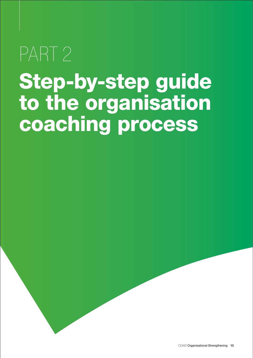# PART<sub>2</sub> Step-by-step guide to the organisation coaching process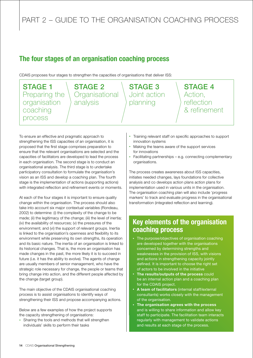## The four stages of an organisation coaching process

CDAIS proposes four stages to strengthen the capacities of organisations that deliver ISS:



To ensure an effective and pragmatic approach to strengthening the ISS capacities of an organisation, it is proposed that the first stage comprises preparation to ensure that the relevant organisations are selected and the capacities of facilitators are developed to lead the process in each organisation. The second stage is to conduct an organisational analysis. The third stage is to undertake participatory consultation to formulate the organisation's vision as an ISS and develop a coaching plan. The fourth stage is the implementation of actions (supporting actions) with integrated reflection and refinement events or moments.

At each of the four stages it is important to ensure quality change within the organisation. The process should also take into account six major contextual variables (Rondeau, 2002) to determine: (i) the complexity of the change to be made; (ii) the legitimacy of the change; (iii) the level of inertia; (iv) the availability of resources; (v) the pressures of the environment; and (vi) the support of relevant groups. Inertia is linked to the organisation's openness and flexibility to its environment while preserving its own strengths, its operation and its basic nature. The inertia of an organisation is linked to its historical changes. That is, the more an organisation has made changes in the past, the more likely it is to succeed in future (*i.e.* it has the ability to evolve). The agents of change are usually members of senior management, who have the strategic role necessary for change, the people or teams that bring change into action, and the different people affected by the change (target group).

The main objective of the CDAIS organisational coaching process is to assist organisations to identify ways of strengthening their ISS and propose accompanying actions.

Below are a few examples of how the project supports the capacity strengthening of organisations:

• Sharing the tools and methods that will strengthen individuals' skills to perform their tasks

- Training relevant staff on specific approaches to support innovation systems
- Making the teams aware of the support services for innovations
- Facilitating partnerships  $-$  e.g. connecting complementary organisations.

The process creates awareness about ISS capacities, initiates needed changes, lays foundations for collective analysis and co develops action plans action plans for implementation used in various units in the organisation. The organisation coaching plan will also include 'progress markers' to track and evaluate progress in the organisational transformation (integrated reflection and learning).

## Key elements of the organisation coaching process

- The purpose/objectives of organisation coaching are developed together with the organisations concerned by determining strengths and weaknesses in the provision of ISS, with visions and actions in strengthening capacity jointly defined. It is important to choose the right set of actors to be involved in the initiative
- The results/outputs of the process could be an internal action plan and a coaching plan for the CDAIS project.
- A team of facilitators (internal staff/external consultants) works closely with the management of the organisation.
- The organisation agrees with the process and is willing to share information and allow key staff to participate. The facilitation team interacts regularly with management to validate actions and results at each stage of the process.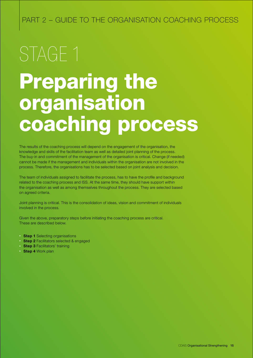# Preparing the organisation coaching process STAGE 1

The results of the coaching process will depend on the engagement of the organisation, the knowledge and skills of the facilitation team as well as detailed joint planning of the process. The buy-in and commitment of the management of the organisation is critical. Change (if needed) cannot be made if the management and individuals within the organisation are not involved in the process. Therefore, the organisations has to be selected based on joint analysis and decision.

The team of individuals assigned to facilitate the process, has to have the profile and background related to the coaching process and ISS. At the same time, they should have support within the organisation as well as among themselves throughout the process. They are selected based on agreed criteria.

Joint planning is critical. This is the consolidation of ideas, vision and commitment of individuals involved in the process.

Given the above, preparatory steps before initiating the coaching process are critical. These are described below.

- **Step 1** Selecting organisations
- **Step 2** Facilitators selected & engaged
- Step 3 Facilitators' training
- Step 4 Work plan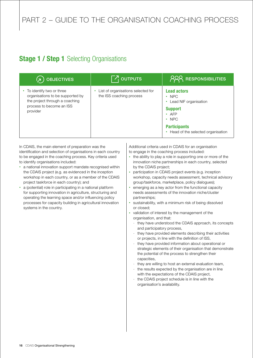## **Stage 1 / Step 1** Selecting Organisations

| <b>OBJECTIVES</b><br>( พ                                                                                                               | $\overline{Z}$ outputs                                         | <b>PRR RESPONSIBILITIES</b>                                                                                                                                              |
|----------------------------------------------------------------------------------------------------------------------------------------|----------------------------------------------------------------|--------------------------------------------------------------------------------------------------------------------------------------------------------------------------|
| To identify two or three<br>organisations to be supported by<br>the project through a coaching<br>process to become an ISS<br>provider | List of organisations selected for<br>the ISS coaching process | <b>Lead actors</b><br>$\cdot$ NPC<br>Lead NIF organisation<br><b>Support</b><br>$\cdot$ AFP<br>$\cdot$ NPC<br><b>Participants</b><br>• Head of the selected organisation |

In CDAIS, the main element of preparation was the identification and selection of organisations in each country to be engaged in the coaching process. Key criteria used to identify organisations included:

- a national innovation support mandate recognised within the CDAIS project (e.g. as evidenced in the inception workshop in each country, or as a member of the CDAIS project taskforce in each country); and
- a (potential) role in participating in a national platform for supporting innovation in agriculture, structuring and operating the learning space and/or influencing policy processes for capacity building in agricultural innovation systems in the country.

Additional criteria used in CDAIS for an organisation to engage in the coaching process included:

- the ability to play a role in supporting one or more of the innovation niche partnerships in each country, selected by the CDAIS project;
- participation in CDAIS project events (e.g. inception workshop, capacity needs assessment, technical advisory group/taskforce, marketplace, policy dialogues);
- emerging as a key actor from the functional capacity needs assessments of the innovation niche/cluster partnerships;
- sustainability, with a minimum risk of being dissolved or closed;
- • validation of interest by the management of the organisation, and that:
	- they have understood the CDAIS approach, its concepts and participatory process,
	- they have provided elements describing their activities or projects, in line with the definition of ISS,
	- they have provided information about operational or strategic elements of their organisation that demonstrate the potential of the process to strengthen their capacities,
	- they are willing to host an external evaluation team,
	- the results expected by the organisation are in line with the expectations of the CDAIS project,
	- the CDAIS project schedule is in line with the organisation's availability.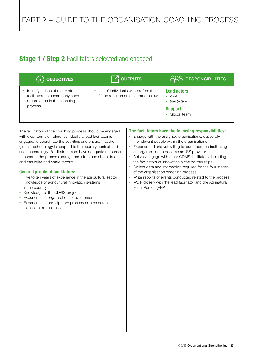## **Stage 1 / Step 2** Facilitators selected and engaged

| OBJECTIVES<br>(я                                                                                            | $\nabla$ <sub>I</sub> outputs                                                  | <b>PRA RESPONSIBILITIES</b>                                           |
|-------------------------------------------------------------------------------------------------------------|--------------------------------------------------------------------------------|-----------------------------------------------------------------------|
| Identify at least three to six<br>facilitators to accompany each<br>organisation in the coaching<br>process | List of individuals with profiles that<br>fit the requirements as listed below | <b>Lead actors</b><br>AFP<br>NPC/CPM<br><b>Support</b><br>Global team |

The facilitators of the coaching process should be engaged with clear terms of reference. Ideally a lead facilitator is engaged to coordinate the activities and ensure that the global methodology is adapted to the country context and used accordingly. Facilitators must have adequate resources to conduct the process, can gather, store and share data, and can write and share reports.

#### General profile of facilitators:

- Five to ten years of experience in the agricultural sector
- • Knowledge of agricultural innovation systems in the country
- • Knowledge of the CDAIS project
- • Experience in organisational development
- Experience in participatory processes in research, extension or business.

#### The facilitators have the following responsibilities:

- Engage with the assigned organisations, especially the relevant people within the organisations
- Experienced and yet willing to learn more on facilitating an organisation to become an ISS provider
- • Actively engage with other CDAIS facilitators, including the facilitators of innovation niche partnerships
- Collect data and information required for the four stages of the organisation coaching process
- Write reports of events conducted related to the process
- Work closely with the lead facilitator and the Agrinatura Focal Person (AFP).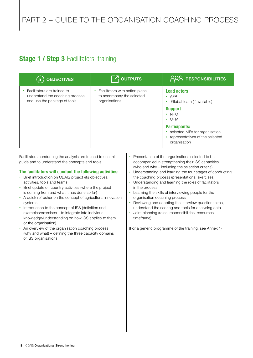## **Stage 1 / Step 3 Facilitators' training**

| <b>OBJECTIVES</b>                                                                              | $\nabla_1$ outputs                                                           | <b>RESPONSIBILITIES</b>                                                                                                                                                                                                       |
|------------------------------------------------------------------------------------------------|------------------------------------------------------------------------------|-------------------------------------------------------------------------------------------------------------------------------------------------------------------------------------------------------------------------------|
| Facilitators are trained to<br>understand the coaching process<br>and use the package of tools | Facilitators with action plans<br>to accompany the selected<br>organisations | <b>Lead actors</b><br>AFP<br>۰<br>Global team (if available)<br><b>Support</b><br>$\cdot$ NPC<br><b>CPM</b><br>٠<br><b>Participants:</b><br>selected NIFs for organisation<br>representatives of the selected<br>organisation |

Facilitators conducting the analysis are trained to use this guide and to understand the concepts and tools.

## The facilitators will conduct the following activities:

- Brief introduction on CDAIS project (its objectives, activities, tools and teams)
- Brief update on country activities (where the project is coming from and what it has done so far)
- A quick refresher on the concept of agricultural innovation systems
- Introduction to the concept of ISS (definition and examples/exercises – to integrate into individual knowledge/understanding on how ISS applies to them or the organisation)
- An overview of the organisation coaching process (why and what) – defining the three capacity domains of ISS organisations
- Presentation of the organisations selected to be accompanied in strengthening their ISS capacities (who and why – including the selection criteria)
- Understanding and learning the four stages of conducting the coaching process (presentations, exercises)
- Understanding and learning the roles of facilitators in the process
- • Learning the skills of interviewing people for the organisation coaching process
- Reviewing and adapting the interview questionnaires, understand the scoring and tools for analysing data
- • Joint planning (roles, responsibilities, resources, timeframe).

(For a generic programme of the training, see Annex 1).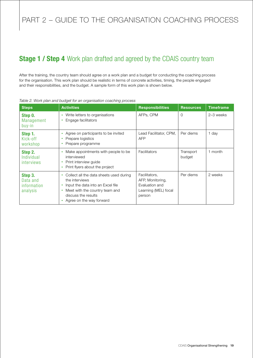## **Stage 1 / Step 4** Work plan drafted and agreed by the CDAIS country team

After the training, the country team should agree on a work plan and a budget for conducting the coaching process for the organisation. This work plan should be realistic in terms of concrete activities, timing, the people engaged and their responsibilities, and the budget. A sample form of this work plan is shown below.

| <b>Steps</b>                                   | <b>Activities</b>                                                                                                                                                                   | <b>Responsibilities</b>                                                               | <b>Resources</b>    | <b>Timeframe</b> |
|------------------------------------------------|-------------------------------------------------------------------------------------------------------------------------------------------------------------------------------------|---------------------------------------------------------------------------------------|---------------------|------------------|
| Step 0.<br>Management<br>buy-in                | Write letters to organisations<br>۰<br>Engage facilitators                                                                                                                          | AFPs, CPM                                                                             | $\Omega$            | 2-3 weeks        |
| Step 1.<br>Kick-off<br>workshop                | Agree on participants to be invited<br>$\bullet$<br>Prepare logistics<br>Prepare programme                                                                                          | Lead Facilitator, CPM,<br><b>AFP</b>                                                  | Per diems           | 1 day            |
| Step 2.<br>Individual<br>interviews            | Make appointments with people to be.<br>interviewed<br>Print interview quide<br>Print flyers about the project                                                                      | Facilitators                                                                          | Transport<br>budget | 1 month          |
| Step 3.<br>Data and<br>information<br>analysis | Collect all the data sheets used during<br>the interviews<br>Input the data into an Excel file<br>Meet with the country team and<br>discuss the results<br>Agree on the way forward | Facilitators,<br>AFP, Monitoring,<br>Evaluation and<br>Learning (MEL) focal<br>person | Per diems           | 2 weeks          |

#### *Table 2. Work plan and budget for an organisation coaching process*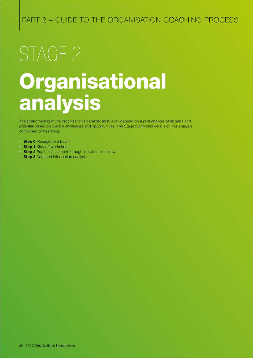# Organisational analysis STAGE<sub>2</sub>

The strengthening of the organisation's capacity as ISS will depend on a joint analysis of its gaps and potential based on current challenges and opportunities. The Stage 2 provides details on this analysis composed of four steps:

- Step 0 Management buy-in
- Step 1 Kick-off workshop
- Step 2 Rapid assessment through individual interviews
- **Step 3** Data and information analysis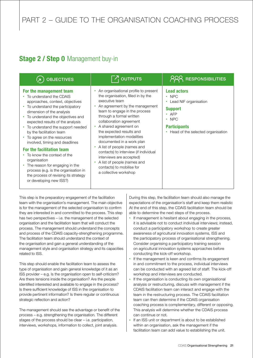## **Stage 2 / Step 0 Management buy-in**

| <b>OBJECTIVES</b>                                                                                                                                                                                                                                                                                                                                                                                                                                                                                                                                                                                | $\boxed{7}$ OUTPUTS                                                                                                                                                                                                                                                                                                                                                                                                                                                                                                                | <b>RESPONSIBILITIES</b>                                                                                                                                              |
|--------------------------------------------------------------------------------------------------------------------------------------------------------------------------------------------------------------------------------------------------------------------------------------------------------------------------------------------------------------------------------------------------------------------------------------------------------------------------------------------------------------------------------------------------------------------------------------------------|------------------------------------------------------------------------------------------------------------------------------------------------------------------------------------------------------------------------------------------------------------------------------------------------------------------------------------------------------------------------------------------------------------------------------------------------------------------------------------------------------------------------------------|----------------------------------------------------------------------------------------------------------------------------------------------------------------------|
| For the management team<br>• To understand the CDAIS<br>approaches, context, objectives<br>• To understand the participatory<br>dimension of the analysis<br>• To understand the objectives and<br>expected results of the analysis<br>• To understand the support needed<br>by the facilitation team<br>• To agree on the resources<br>involved, timing and deadlines<br>For the facilitation team<br>To know the context of the<br>organisation<br>• The reason for engaging in the<br>process (e.g. is the organisation in<br>the process of revising its strategy<br>or developing new ISS?) | An organisational profile to present<br>the organisation, filled in by the<br>executive team<br>An agreement by the management<br>team to engage in the process<br>through a formal written<br>collaboration agreement<br>• A shared agreement on<br>the expected results and<br>implementation modalities<br>documented in a work plan<br>• A list of people (names and<br>contacts) to interview (if individual<br>interviews are accepted)<br>A list of people (names and<br>contacts) to mobilise for<br>a collective workshop | <b>Lead actors</b><br>$\cdot$ NPC<br>Lead NIF organisation<br><b>Support</b><br>$·$ AFP<br>$\cdot$ NPC<br><b>Participants</b><br>• Head of the selected organisation |

This step is the preparatory engagement of the facilitation team with the organisation's management. The main objective is for the management of the selected organisation to confirm they are interested in and committed to the process. This step has two perspectives – i.e. the management of the selected organisation and the facilitation team that will conduct the process. The management should understand the concepts and process of the CDAIS capacity-strengthening programme. The facilitation team should understand the context of the organisation and gain a general understanding of the management style and organisation strategy and its capacities related to ISS.

This step should enable the facilitation team to assess the type of organisation and gain general knowledge of it as an ISS provider – e.g. Is the organisation open to self-criticism? Are there tensions inside the organisation? Are the people identified interested and available to engage in the process? Is there sufficient knowledge of ISS in the organisation to provide pertinent information? Is there regular or continuous strategic reflection and action?

The management should see the advantage or benefit of the process – e.g. strengthening the organisation. The different stages of the process should be clear – i.e. participation, interviews, workshops, information to collect, joint analysis.

During this step, the facilitation team should also manage the expectations of the organisation's staff and keep them realistic At the end of this step, the CDAIS facilitation team should be able to determine the next steps of the process.

- If management is hesitant about engaging in the process, it is advisable not to conduct individual interviews; instead, conduct a participatory workshop to create greater awareness of agricultural innovation systems, ISS and the participatory process of organisational strengthening. Consider organising a participatory training session on agricultural innovation systems approaches before conducting the kick-off workshop.
- If the management is keen and confirms its engagement in and commitment to the process, individual interviews can be conducted with an agreed list of staff. The kick-off workshop and interviews are conducted.
- If the organisation is conducting its own organisational analysis or restructuring, discuss with management if the CDAIS facilitation team can interact and engage with the team in the restructuring process. The CDAIS facilitation team can then determine if the CDAIS organisation coaching process is complementary, different or opposing. This analysis will determine whether the CDAIS process can continue or not.
- If an ISS unit or department is about to be established within an organisation, ask the management if the facilitation team can add value to establishing the unit.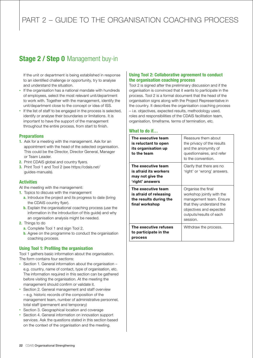## **Stage 2 / Step 0 Management buy-in**

If the unit or department is being established in response to an identified challenge or opportunity, try to analyse and understand the situation.

- If the organisation has a national mandate with hundreds of employees, select the most relevant unit/department to work with. Together with the management, identify the unit/department close to the concept or idea of ISS.
- If the list of staff to be engaged in the process is selected, identify or analyse their boundaries or limitations. It is important to have the support of the management throughout the entire process, from start to finish.

#### **Preparations**

- 1. Ask for a meeting with the management. Ask for an appointment with the head of the selected organisation. This could be the Director, Director General, Manager or Team Leader.
- 2. Print CDAIS global and country flyers.
- 3. Print Tool 1 and Tool 2 (see https://cdais.net/ guides-manuals).

## Activities

At the meeting with the management:

- 1. Topics to discuss with the management
	- a. Introduce the project and its progress to date (bring the CDAIS country flyer).
	- **b.** Explain the organisational coaching process (use the information in the introduction of this guide) and why an organisation analysis might be needed.
- 2. Things to do
	- a. Complete Tool 1 and sign Tool 2.
	- **b.** Agree on the programme to conduct the organisation coaching process.

## Using Tool 1: Profiling the organisation

Tool 1 gathers basic information about the organisation. The form contains four sections:

- Section 1. General information about the organisation e.g. country, name of contact, type of organisation, etc. The information required in this section can be gathered before visiting the organisation. At the meeting the management should confirm or validate it.
- Section 2. General management and staff overview – e.g. historic records of the composition of the management team, number of administrative personnel, total staff (permanent and temporary)
- Section 3. Geographical location and coverage
- Section 4. General information on innovation support services. Ask the questions stated in this section based on the context of the organisation and the meeting.

## Using Tool 2: Collaborative agreement to conduct the organisation coaching process

Tool 2 is signed after the preliminary discussion and if the organisation is convinced that it wants to participate in the process. Tool 2 is a formal document that the head of the organisation signs along with the Project Representative in the country. It describes the organisation coaching process – i.e. objectives, expected results, methodology used, roles and responsibilities of the CDAIS facilitation team, organisation, timeframe, terms of termination, etc.

## What to do if…

| The executive team<br>is reluctant to open<br>its organisation up<br>to the team         | Reassure them about<br>the privacy of the results<br>and the anonymity of<br>questionnaires, and refer<br>to the convention.                                             |
|------------------------------------------------------------------------------------------|--------------------------------------------------------------------------------------------------------------------------------------------------------------------------|
| The executive team<br>is afraid its workers<br>may not give the<br>'right' answers       | Clarify that there are no<br>'right' or 'wrong' answers.                                                                                                                 |
| The executive team<br>is afraid of releasing<br>the results during the<br>final workshop | Organise the final<br>workshop jointly with the<br>management team. Ensure<br>that they understand the<br>objectives and expected<br>outputs/results of each<br>session. |
| The executive refuses<br>to participate in the<br>process                                | Withdraw the process.                                                                                                                                                    |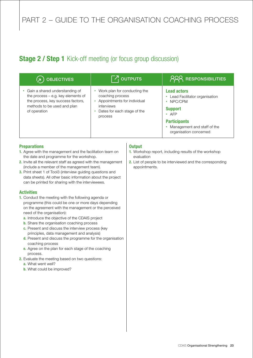## **Stage 2 / Step 1** Kick-off meeting (or focus group discussion)

| <b>OBJECTIVES</b>                                                                                                                                        | $\nabla_1$ outputs                                                                                                                          | <b>RESPONSIBILITIES</b>                                                                                                                                                         |
|----------------------------------------------------------------------------------------------------------------------------------------------------------|---------------------------------------------------------------------------------------------------------------------------------------------|---------------------------------------------------------------------------------------------------------------------------------------------------------------------------------|
| Gain a shared understanding of<br>the process - e.g. key elements of<br>the process, key success factors,<br>methods to be used and plan<br>of operation | • Work plan for conducting the<br>coaching process<br>• Appointments for individual<br>interviews<br>Dates for each stage of the<br>process | <b>Lead actors</b><br>Lead Facilitator organisation<br>NPC/CPM<br><b>Support</b><br>$\cdot$ AFP<br><b>Participants</b><br>Management and staff of the<br>organisation concerned |

## **Preparations**

- 1. Agree with the management and the facilitation team on the date and programme for the workshop.
- 2. Invite all the relevant staff as agreed with the management (include a member of the management team).
- 3. Print sheet 1 of Tool3 (interview guiding questions and data sheets). All other basic information about the project can be printed for sharing with the interviewees.

## **Activities**

- 1. Conduct the meeting with the following agenda or programme (this could be one or more days depending on the agreement with the management or the perceived need of the organisation):
	- a. Introduce the objective of the CDAIS project
	- **b.** Share the organisation coaching process
	- c. Present and discuss the interview process (key principles, data management and analysis)
	- d. Present and discuss the programme for the organisation coaching process
	- e. Agree on the plan for each stage of the coaching process.
- 2. Evaluate the meeting based on two questions:
	- a. What went well?
	- **b.** What could be improved?

## **Output**

- 1. Workshop report, including results of the workshop evaluation
- 2. List of people to be interviewed and the corresponding appointments.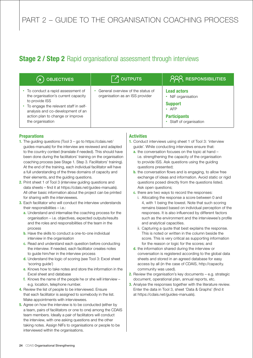## **Stage 2 / Step 2** Rapid organisational assessment through interviews

| <b>OBJECTIVES</b><br>(я                                                                                                                                                                                                         | $\lceil \frac{7}{1}$ OUTPUTS                                         | <b>PRA RESPONSIBILITIES</b>                                                                                                      |
|---------------------------------------------------------------------------------------------------------------------------------------------------------------------------------------------------------------------------------|----------------------------------------------------------------------|----------------------------------------------------------------------------------------------------------------------------------|
| To conduct a rapid assessment of<br>the organisation's current capacity<br>to provide ISS<br>To engage the relevant staff in self-<br>analysis and co-development of an<br>action plan to change or improve<br>the organisation | General overview of the status of<br>organisation as an ISS provider | <b>Lead actors</b><br>NIF organisation<br>٠<br><b>Support</b><br>$\bullet$ AFP<br><b>Participants</b><br>• Staff of organisation |

## **Preparations**

- 1. The guiding questions (Tool 3 go to https://cdais.net/ guides-manuals) for the interview are reviewed and adapted to the country context (translate if needed). This should have been done during the facilitators' training on the organisation coaching process (see Stage 1. Step 3. Facilitators' training). At the end of the training, each individual facilitator will have a full understanding of the three domains of capacity and their elements, and the guiding questions.
- 2. Print sheet 1 of Tool 3 (interview guiding questions and data sheets – find it at https://cdais.net/guides-manuals). All other basic information about the project can be printed for sharing with the interviewees.
- **3.** Each facilitator who will conduct the interview understands their responsibilities – i.e.:
	- a. Understand and internalise the coaching process for the organisation – i.e. objectives, expected outputs/results and the roles and responsibilities of the team in the process
	- **b.** Have the skills to conduct a one-to-one individual interview in the organisation
	- c. Read and understand each question before conducting the interview. If needed, each facilitator creates notes to guide him/her in the interview process
	- d. Understand the logic of scoring (see Tool 3: Excel sheet 'scoring guide')
	- e. Knows how to take notes and store the information in the Excel sheet and database
	- f. Knows the name of the people he or she will interview e.g. location, telephone number.
- 4. Review the list of people to be interviewed. Ensure that each facilitator is assigned to somebody in the list. Make appointments with interviewees.
- **5.** Agree on how the interview is to be conducted (either by a team, pairs of facilitators or one to one) among the CDAIS team members. Ideally a pair of facilitators will conduct the interview, with one asking questions and the other taking notes. Assign NIFs to organisations or people to be interviewed within the organisations.

## **Activities**

- 1. Conduct interviews using sheet 1 of Tool 3: 'interview guide'. While conducting interviews ensure that:
	- a. the conversation focuses on the topic at hand i.e. strengthening the capacity of the organisation to provide ISS. Ask questions using the guiding questions presented;
	- **b.** the conversation flows and is engaging, to allow free exchange of ideas and information. Avoid static or rigid questions posed directly from the questions listed. Ask open questions;
	- c. there are two ways to record the responses:
		- i. Allocating the response a score between 0 and 4, with 1 being the lowest. Note that such scoring remains biased based on individual perception of the responses. It is also influenced by different factors such as the environment and the interviewee's profile and analytical capacities.
		- ii. Capturing a quote that best explains the response. This is noted or written in the column beside the score. This is very critical as supporting information for the reason or logic for the scores; and
	- d. the information shared during the interview or conversation is registered according to the global data sheets and stored in an agreed database for easy access by all (in the case of CDAIS, http://capacity. community was used).
- **2.** Review the organisation's key documents  $-$  e.g. strategic document, operational plan, annual reports, etc.
- **3.** Analyse the responses together with the literature review. Enter the data in Tool 3, sheet 'Data & Graphs' (find it at https://cdais.net/guides-manuals).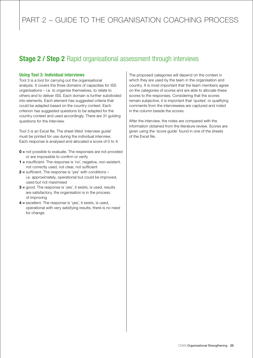## **Stage 2 / Step 2** Rapid organisational assessment through interviews

## Using Tool 3: Individual interviews

Tool 3 is a tool for carrying out the organisational analysis. It covers the three domains of capacities for ISS organisations – i.e. to organise themselves, to relate to others and to deliver ISS. Each domain is further subdivided into elements. Each element has suggested criteria that could be adapted based on the country context. Each criterion has suggested questions to be adapted for the country context and used accordingly. There are 31 guiding questions for the interview.

Tool 3 is an Excel file. The sheet titled 'interview guide' must be printed for use during the individual interview. Each response is analysed and allocated a score of 0 to 4:

- 0 = not possible to evaluate. The responses are not provided or are impossible to confirm or verify
- 1 = insufficient. The response is 'no', negative, non-existent, not correctly used, not clear, not sufficient
- 2 = sufficient. The response is 'yes' with conditions i.e. approximately, operational but could be improved, used but not maximised
- $3 =$  good. The response is 'yes', it exists, is used, results are satisfactory, the organisation is in the process of improving
- $4$  = excellent. The response is 'yes', it exists, is used, operational with very satisfying results, there is no need for change.

The proposed categories will depend on the context in which they are used by the team in the organisation and country. It is most important that the team members agree on the categories of scores and are able to allocate these scores to the responses. Considering that the scores remain subjective, it is important that 'quotes' or qualifying comments from the interviewees are captured and noted in the column beside the scores.

After the interview, the notes are compared with the information obtained from the literature review. Scores are given using the 'score guide' found in one of the sheets of the Excel file.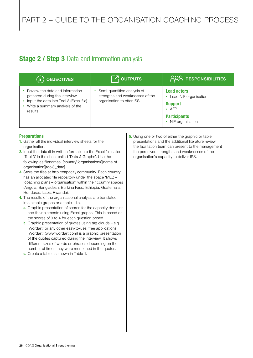## **Stage 2 / Step 3** Data and information analysis

| OBJECTIVES<br>√⊼/                                                                                                                                           | $\nabla_1$ outputs                                                                          | <b>PRA RESPONSIBILITIES</b>                                                                                                 |
|-------------------------------------------------------------------------------------------------------------------------------------------------------------|---------------------------------------------------------------------------------------------|-----------------------------------------------------------------------------------------------------------------------------|
| Review the data and information<br>gathered during the interview<br>Input the data into Tool 3 (Excel file)<br>• Write a summary analysis of the<br>results | Semi-quantified analysis of<br>strengths and weaknesses of the<br>organisation to offer ISS | <b>Lead actors</b><br>• Lead NIF organisation<br><b>Support</b><br>$\cdot$ AFP<br><b>Participants</b><br>• NIF organisation |

## **Preparations**

- 1. Gather all the individual interview sheets for the organisation.
- 2. Input the data (if in written format) into the Excel file called 'Tool 3' in the sheet called 'Data & Graphs'. Use the following as filenames: [country][organisation#][name of organisation][tool3\_data].
- 3. Store the files at http://capacity.community. Each country has an allocated file repository under the space 'MEL' – 'coaching plans – organisation' within their country spaces (Angola, Bangladesh, Burkina Faso, Ethiopia, Guatemala, Honduras, Laos, Rwanda).
- 4. The results of the organisational analysis are translated into simple graphs or a table – i.e.:
	- a. Graphic presentation of scores for the capacity domains and their elements using Excel graphs. This is based on the scores of 0 to 4 for each question posed.
	- **b.** Graphic presentation of quotes using tag clouds  $-$  e.g. 'Wordart' or any other easy-to-use, free applications. 'Wordart' (www.wordart.com) is a graphic presentation of the quotes captured during the interview. It shows different sizes of words or phrases depending on the number of times they were mentioned in the quotes.
	- c. Create a table as shown in Table 1.

**5.** Using one or two of either the graphic or table presentations and the additional literature review, the facilitation team can present to the management the perceived strengths and weaknesses of the organisation's capacity to deliver ISS.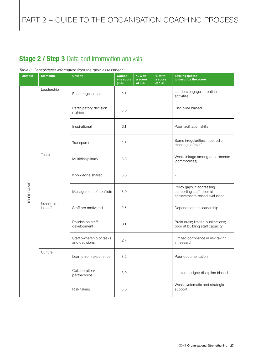# PART 2 - GUIDE TO THE ORGANISATION COACHING PROCESS

## Stage 2 / Step 3 Data and information analysis

#### *Table 3. Consolidated information from the rapid assessment*

| <b>Domain</b> | <b>Elements</b>        | <b>Criteria</b>                           | Compo-<br>site score<br>$(0-4)$ | $\frac{1}{2}$ with<br>a score<br>of $3-4$ | % with<br>a score<br>of 1-2 | <b>Striking quotes</b><br>to describe the score                                          |                                         |
|---------------|------------------------|-------------------------------------------|---------------------------------|-------------------------------------------|-----------------------------|------------------------------------------------------------------------------------------|-----------------------------------------|
|               |                        | Leadership                                | Encourages ideas                | 2.6                                       |                             |                                                                                          | Leaders engage in routine<br>activities |
|               |                        | Participatory decision<br>making          | 3.0                             |                                           |                             | Discipline biased                                                                        |                                         |
|               |                        | Inspirational                             | 3.1                             |                                           |                             | Poor facilitation skills                                                                 |                                         |
|               |                        | Transparent                               | 2.8                             |                                           |                             | Some irregularities in periodic<br>meetings of staff                                     |                                         |
|               | Team                   | Multidisciplinary                         | 3.3                             |                                           |                             | Weak linkage among departments<br>(commodities)                                          |                                         |
|               |                        | Knowledge shared                          | 3.6                             |                                           |                             | ÷,                                                                                       |                                         |
| TO ORGANISE   |                        | Management of conflicts                   | 3.0                             |                                           |                             | Policy gaps in addressing<br>supporting staff; poor at<br>achievements-based evaluation. |                                         |
|               | Investment<br>in staff | Staff are motivated                       | 2.5                             |                                           |                             | Depends on the leadership                                                                |                                         |
|               |                        | Policies on staff<br>development          | 3.1                             |                                           |                             | Brain drain; limited publications;<br>poor at building staff capacity                    |                                         |
|               |                        | Staff ownership of tasks<br>and decisions | 2.7                             |                                           |                             | Limited confidence in risk taking<br>in research                                         |                                         |
|               | Culture                | Learns from experience                    | 3.2                             |                                           |                             | Poor documentation                                                                       |                                         |
|               |                        | Collaboration/<br>partnerships            | 3.0                             |                                           |                             | Limited budget; discipline biased                                                        |                                         |
|               |                        | Risk taking                               | 3.0                             |                                           |                             | Weak systematic and strategic<br>support                                                 |                                         |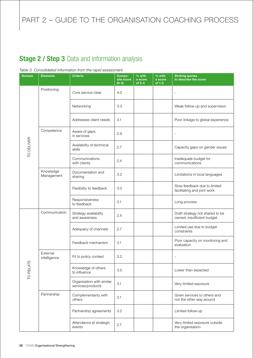## Stage 2 / Step 3 Data and information analysis

#### *Table 3. Consolidated information from the rapid assessment*

| <b>Domain</b> | <b>Elements</b>          | <b>Criteria</b>                                | Compo-<br>site score<br>$(0-4)$ | $%$ with<br>a score<br>$of 3-4$ | % with<br>a score<br>of 1-2 | <b>Striking quotes</b><br>to describe the score               |
|---------------|--------------------------|------------------------------------------------|---------------------------------|---------------------------------|-----------------------------|---------------------------------------------------------------|
|               | Positioning              | Core service clear                             | 4.0                             |                                 |                             | $\blacksquare$                                                |
|               |                          | Networking                                     | 3.3                             |                                 |                             | Weak follow-up and supervision                                |
|               |                          | Addresses client needs                         | 3.1                             |                                 |                             | Poor linkage to global experience                             |
|               | Competence               | Aware of gaps<br>in services                   | 2.9                             |                                 |                             | $\blacksquare$                                                |
| TO DELIVER    |                          | Availability of technical<br>skills            | 2.7                             |                                 |                             | Capacity gaps on gender issues                                |
|               |                          | Communications<br>with clients                 | 2.4                             |                                 |                             | Inadequate budget for<br>communications                       |
|               | Knowledge<br>Management  | Documentation and<br>sharing                   | 3.2                             |                                 |                             | Limitations in local languages                                |
|               |                          | Flexibility to feedback                        | 3.0                             |                                 |                             | Slow feedback due to limited<br>facilitating and joint work   |
|               |                          | Responsiveness<br>to feedback                  | 3.1                             |                                 |                             | Long process                                                  |
|               | Communication            | Strategy availability<br>and awareness         | 2.4                             |                                 |                             | Draft strategy not shared to be<br>owned; insufficient budget |
|               |                          | Adequacy of channels                           | 2.7                             |                                 |                             | Limited use due to budget<br>constraints                      |
|               |                          | Feedback mechanism                             | 3.1                             |                                 |                             | Poor capacity on monitoring and<br>evaluation                 |
| ш             | External<br>intelligence | Fit to policy context                          | 3.2                             |                                 |                             |                                                               |
| TO RELAT      |                          | Knowledge of others<br>to influence            | 3.5                             |                                 |                             | Lower than expected                                           |
|               |                          | Organisation with similar<br>services/products | 3.1                             |                                 |                             | Very limited exposure                                         |
|               | Partnership              | Complementarity with<br>others                 | 3.1                             |                                 |                             | Given services to others and<br>not the other way around      |
|               |                          | Partnership agreements                         | 3.2                             |                                 |                             | Limited follow-up                                             |
|               |                          | Attendance at strategic<br>events              | 2.7                             |                                 |                             | Very limited exposure outside<br>the organisation             |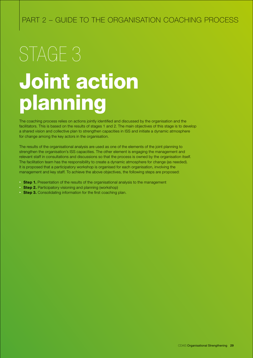# Joint action planning STAGE<sub>3</sub>

The coaching process relies on actions jointly identified and discussed by the organisation and the facilitators. This is based on the results of stages 1 and 2. The main objectives of this stage is to develop a shared vision and collective plan to strengthen capacities in ISS and initiate a dynamic atmosphere for change among the key actors in the organisation.

The results of the organisational analysis are used as one of the elements of the joint planning to strengthen the organisation's ISS capacities. The other element is engaging the management and relevant staff in consultations and discussions so that the process is owned by the organisation itself. The facilitation team has the responsibility to create a dynamic atmosphere for change (as needed). It is proposed that a participatory workshop is organised for each organisation, involving the management and key staff. To achieve the above objectives, the following steps are proposed:

- Step 1. Presentation of the results of the organisational analysis to the management
- Step 2. Participatory visioning and planning (workshop)
- Step 3. Consolidating information for the first coaching plan.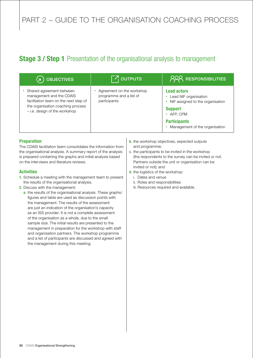## **Stage 3 / Step 1** Presentation of the organisational analysis to management

| <b>OBJECTIVES</b><br>Ιя                                                                                                                                             | $\lceil \mathcal{F}_1 \rceil$ outputs                                                                                                                                                   | <b>PRA RESPONSIBILITIES</b>                           |
|---------------------------------------------------------------------------------------------------------------------------------------------------------------------|-----------------------------------------------------------------------------------------------------------------------------------------------------------------------------------------|-------------------------------------------------------|
| Shared agreement between<br>management and the CDAIS<br>facilitation team on the next step of<br>the organisation coaching process<br>- i.e. design of the workshop | Agreement on the workshop<br><b>Lead actors</b><br>programme and a list of<br>Lead NIF organisation<br>participants<br>NIF assigned to the organisation<br><b>Support</b><br>• AFP, CPM |                                                       |
|                                                                                                                                                                     |                                                                                                                                                                                         | <b>Participants</b><br>Management of the organisation |

## **Preparation**

The CDAIS facilitation team consolidates the information from the organisational analysis. A summary report of the analysis is prepared containing the graphs and initial analysis based on the interviews and literature reviews.

## **Activities**

- 1. Schedule a meeting with the management team to present the results of the organisational analysis.
- 2. Discuss with the management:
	- a. the results of the organisational analysis. These graphs/ figures and table are used as discussion points with the management. The results of the assessment are just an indication of the organisation's capacity as an ISS provider. It is not a complete assessment of the organisation as a whole, due to the small sample size. The initial results are presented to the management in preparation for the workshop with staff and organisation partners. The workshop programme and a list of participants are discussed and agreed with the management during this meeting;
- **b.** the workshop objectives, expected outputs and programme;
- c. the participants to be invited in the workshop (the respondents to the survey can be invited or not. Partners outside the unit or organisation can be invited or not); and
- d. the logistics of the workshop:
	- i. Dates and venue
	- ii. Roles and responsibilities
	- iii. Resources required and available.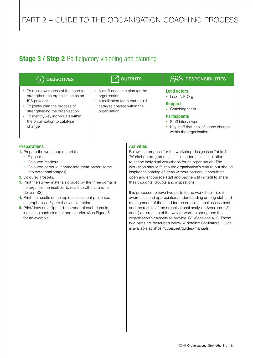## **Stage 3 / Step 2** Participatory visioning and planning

| <b>OBJECTIVES</b>                                                                                                                                                                                                                                 | $\neg$ outputs                                                                                                                  | <b>PRA RESPONSIBILITIES</b>                                                                                                                                                                |
|---------------------------------------------------------------------------------------------------------------------------------------------------------------------------------------------------------------------------------------------------|---------------------------------------------------------------------------------------------------------------------------------|--------------------------------------------------------------------------------------------------------------------------------------------------------------------------------------------|
| To raise awareness of the need to<br>strengthen the organisation as an<br><b>ISS provider</b><br>To jointly plan the process of<br>strengthening the organisation<br>To identify key individuals within<br>the organisation to catalyse<br>change | • A draft coaching plan for the<br>organisation<br>A facilitation team that could<br>catalyse change within the<br>organisation | <b>Lead actors</b><br>Lead NIF-Org<br>٠<br><b>Support</b><br>Coaching team<br><b>Participants</b><br>• Staff interviewed<br>Key staff that can influence change<br>within the organisation |

## **Preparations**

- 1. Prepare the workshop materials:
	- Flipcharts
	- • Coloured markers
	- Coloured paper (cut some into meta-paper, some into octagonal shapes)
- 2. Coloured Post-its.
- **3.** Print the survey materials divided by the three domains (to organise themselves, to relate to others. and to deliver ISS).
- 4. Print the results of the rapid assessment presented as graphs (see Figure 4 as an example).
- **5.** Print/draw on a flipchart the radar of each domain, indicating each element and criterion (See Figure 5 for an example).

## **Activities**

Below is a proposal for the workshop design (see Table 4: 'Workshop programme'). It is intended as an inspiration to shape individual workshops for an organisation. The workshop should fit into the organisation's culture but should inspire the sharing of ideas without barriers. It should be open and encourage staff and partners (if invited) to share their thoughts, doubts and inspirations.

It is proposed to have two parts to the workshop – i.e. i) awareness and appreciation/understanding among staff and management of the need for the organisational assessment and the results of the organisational analysis (Sessions 1-3); and ii) co-creation of the way forward to strengthen the organisation's capacity to provide ISS (Sessions 4-5). These two parts are described below. A detailed Facilitators' Guide is available at https://cdais.net/guides-manuals.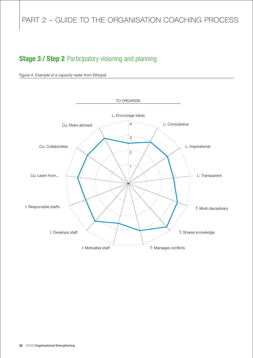# PART 2 - GUIDE TO THE ORGANISATION COACHING PROCESS

## **Stage 3 / Step 2 Participatory visioning and planning**



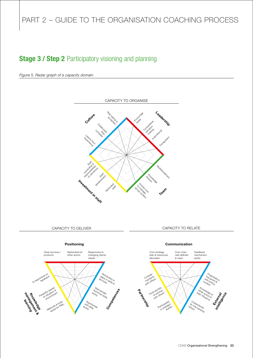## **Stage 3 / Step 2 Participatory visioning and planning**

*Figure 5. Radar graph of a capacity domain*



CAPACITY TO DELIVER CAPACITY TO RELATE

#### Positioning



#### Communication

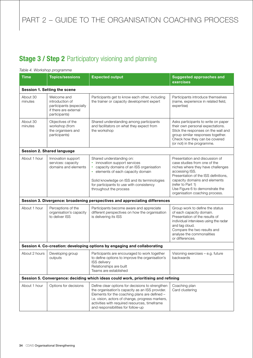# PART 2 - GUIDE TO THE ORGANISATION COACHING PROCESS

## **Stage 3 / Step 2 Participatory visioning and planning**

## *Table 4. Workshop programme*

| <b>Time</b>         | <b>Topics/sessions</b>                                                                               | <b>Expected output</b>                                                                                                                                                                                                                                                                          | <b>Suggested approaches and</b><br>exercises                                                                                                                                                                                                                                             |
|---------------------|------------------------------------------------------------------------------------------------------|-------------------------------------------------------------------------------------------------------------------------------------------------------------------------------------------------------------------------------------------------------------------------------------------------|------------------------------------------------------------------------------------------------------------------------------------------------------------------------------------------------------------------------------------------------------------------------------------------|
|                     | Session 1. Setting the scene                                                                         |                                                                                                                                                                                                                                                                                                 |                                                                                                                                                                                                                                                                                          |
| About 30<br>minutes | Welcome and<br>introduction of<br>participants (especially<br>if there are external<br>participants) | Participants get to know each other, including<br>the trainer or capacity development expert                                                                                                                                                                                                    | Participants introduce themselves<br>(name, experience in related field,<br>expertise)                                                                                                                                                                                                   |
| About 30<br>minutes | Objectives of the<br>workshop (from<br>the organisers and<br>participants)                           | Shared understanding among participants<br>and facilitators on what they expect from<br>the workshop                                                                                                                                                                                            | Asks participants to write on paper<br>their own personal expectations.<br>Stick the responses on the wall and<br>group similar responses together.<br>Check how they can be covered<br>(or not) in the programme.                                                                       |
|                     | <b>Session 2. Shared language</b>                                                                    |                                                                                                                                                                                                                                                                                                 |                                                                                                                                                                                                                                                                                          |
| About 1 hour        | Innovation support<br>services: capacity<br>domains and elements                                     | Shared understanding on:<br>innovation support services<br>$\bullet$<br>capacity domains of an ISS organisation<br>٠<br>elements of each capacity domain<br>$\bullet$<br>Solid knowledge on ISS and its terminologies<br>for participants to use with consistency<br>throughout the process     | Presentation and discussion of<br>case studies from one of the<br>niches where they have challenges<br>accessing ISS.<br>Presentation of the ISS definitions,<br>capacity domains and elements<br>(refer to Part 1)<br>Use Figure 6 to demonstrate the<br>organisation coaching process. |
|                     |                                                                                                      | Session 3. Divergence: broadening perspectives and appreciating differences                                                                                                                                                                                                                     |                                                                                                                                                                                                                                                                                          |
| About 1 hour        | Perceptions of the<br>organisation's capacity<br>to deliver ISS                                      | Participants become aware and appreciate<br>different perspectives on how the organisation<br>is delivering its ISS                                                                                                                                                                             | Group work to define the status<br>of each capacity domain.<br>Presentation of the results of<br>individual interviews using the radar<br>and tag cloud.<br>Compare the two results and<br>analyse the commonalities<br>or differences.                                                  |
|                     |                                                                                                      | Session 4. Co-creation: developing options by engaging and collaborating                                                                                                                                                                                                                        |                                                                                                                                                                                                                                                                                          |
| About 2 hours       | Developing group<br>outputs                                                                          | Participants are encouraged to work together<br>to define options to improve the organisation's<br>ISS delivery<br>Relationships are built<br>Teams are established                                                                                                                             | Visioning exercises - e.g. future<br>backwards                                                                                                                                                                                                                                           |
|                     |                                                                                                      | Session 5. Convergence: deciding which ideas could work, prioritising and refining                                                                                                                                                                                                              |                                                                                                                                                                                                                                                                                          |
| About 1 hour        | Options for decisions                                                                                | Define clear options for decisions to strengthen<br>the organisation's capacity as an ISS provider.<br>Elements for the coaching plans are defined -<br>i.e. vision, actors of change, progress markers,<br>activities with required resources, timeframe<br>and responsibilities for follow-up | Coaching plan<br>Card clustering                                                                                                                                                                                                                                                         |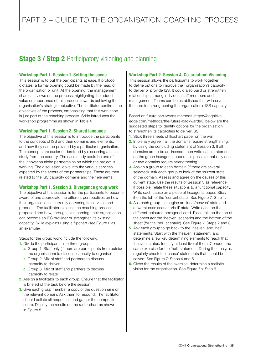## **Stage 3 / Step 2** Participatory visioning and planning

## Workshop Part 1. Session 1. Setting the scene

This session is to put the participants at ease. If protocol dictates, a formal opening could be made by the head of the organisation or unit. At the opening, the management shares its views on the process, highlighting the added value or importance of this process towards achieving the organisation's strategic objective. The facilitator confirms the objectives of the process, emphasising that this workshop is just part of the coaching process. S/He introduces the workshop programme as shown in Table 4.

## Workshop Part 1. Session 2. Shared language

The objective of this session is to introduce the participants to the concepts of ISS and their domains and elements, and how they can be provided by a particular organisation. The concepts are easier understood by discussing a case study from the country. The case study could be one of the innovation niche partnerships on which the project is working. The discussion looks into the various services expected by the actors of the partnerships. These are then related to the ISS capacity domains and their elements.

## Workshop Part 1. Session 3. Divergence group work

The objective of this session is for the participants to become aware of and appreciate the different perspectives on how their organisation is currently delivering its services and products. The facilitator explains the coaching process proposed and how, through joint learning, their organisation can become an ISS provider or strengthen its existing capacity. S/He explains using a flipchart (see Figure 6 as an example).

Steps for the group work include the following.

- 1. Divide the participants into three groups:
	- a. Group 1. Staff only (if there are participants from outside the organisation) to discuss 'capacity to organise'
	- **b.** Group 2. Mix of staff and partners to discuss 'capacity to deliver'
	- c. Group 3. Mix of staff and partners to discuss 'capacity to relate'
- 2. Assign a facilitator to each group. Ensure that the facilitator is briefed of the task before the session.
- **3.** Give each group member a copy of the questionnaire on the relevant domain. Ask them to respond. The facilitator should collate all responses and gather the composite score. Display the results on the radar chart as shown in Figure 5.

## Workshop Part 2. Session 4. Co-creation: Visioning

This session allows the participants to work together to define options to improve their organisation's capacity to deliver or provide ISS. It could also build or strengthen relationships among individual staff members and management. Teams can be established that will serve as the core for strengthening the organisation's ISS capacity.

Based on future backwards methods (https://cognitiveedge.com/methods/the-future-backwards/), below are the suggested steps to identify options for the organisation to strengthen its capacities to deliver ISS:

- 1. Stick three sheets of flipchart paper on the wall.
- 2. In plenary agree if all the domains require strengthening, by using the concluding statement of Session 3. If all domains are to be addressed, then write each statement on the green hexagonal paper. It is possible that only one or two domains require strengthening.
- **3.** Assign a group to each domain (if there are several selected). Ask each group to look at the 'current state' of the domain. Assess and agree on the causes of this current state. Use the results of Session 3 as reference. If possible, relate these situations to a functional capacity. Write each cause on a piece of hexagonal paper. Stick it on the left of the 'current state'. See Figure 7: Step 1.
- 4. Ask each group to imagine an 'ideal/heaven' state and a 'worst case scenario/hell' state. Write each on the different-coloured hexagonal card. Place this on the top of the sheet (for the 'heaven' scenario) and the bottom of the sheet (for the 'hell' scenario). See Figure 7: Steps 2 and 3.
- 5. Ask each group to go back to the 'heaven' and 'hell' statements. Start with the 'heaven' statement, and determine a few key determining elements to reach that 'heaven' status. Identify at least five of them. Conduct the same exercise for the 'hell' statement. During the analysis, regularly check the 'cause' statements that should be solved. See Figure 7: Steps 4 and 5.
- **6.** Given the results of the exercise, determine a realistic vision for the organisation. See Figure 7b: Step 6.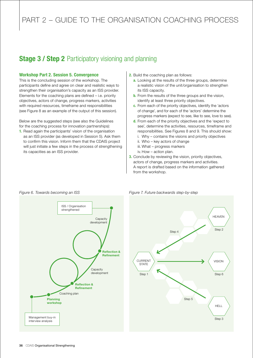## **Stage 3 / Step 2** Participatory visioning and planning

#### Workshop Part 2. Session 5. Convergence

This is the concluding session of the workshop. The participants define and agree on clear and realistic ways to strengthen their organisation's capacity as an ISS provider. Elements for the coaching plans are defined – i.e. priority objectives, actors of change, progress markers, activities with required resources, timeframe and responsibilities (see Figure 8 as an example of the output of this session).

Below are the suggested steps (see also the Guidelines for the coaching process for innovation partnerships):

1. Read again the participants' vision of the organisation as an ISS provider (as developed in Session 5). Ask them to confirm this vision. Inform them that the CDAIS project will just initiate a few steps in the process of strengthening its capacities as an ISS provider.

- 2. Build the coaching plan as follows:
	- a. Looking at the results of the three groups, determine a realistic vision of the unit/organisation to strengthen its ISS capacity.
	- **b.** From the results of the three groups and the vision, identify at least three priority objectives.
	- c. From each of the priority objectives, identify the 'actors of change', and for each of the 'actors' determine the progress markers (expect to see, like to see, love to see).
	- d. From each of the priority objectives and the 'expect to see', determine the activities, resources, timeframe and responsibilities. See Figures 8 and 9. This should show:
		- i. Why contains the visions and priority objectives
		- ii. Who key actors of change
		- iii. What progress markers
		- iv. How action plan.
- **3.** Conclude by reviewing the vision, priority objectives, actors of change, progress markers and activities. A report is drafted based on the information gathered from the workshop.



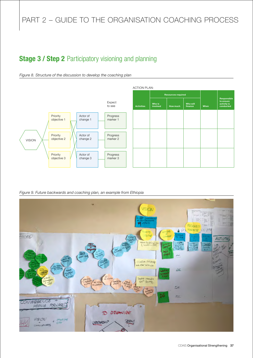## **Stage 3 / Step 2 Participatory visioning and planning**



*Figure 8. Structure of the discussion to develop the coaching plan*

*Figure 9. Future backwards and coaching plan, an example from Ethiopia*

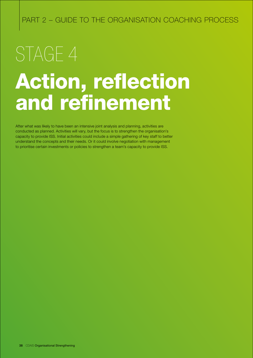# Action, reflection and refinement STAGE 4

After what was likely to have been an intensive joint analysis and planning, activities are conducted as planned. Activities will vary, but the focus is to strengthen the organisation's capacity to provide ISS. Initial activities could include a simple gathering of key staff to better understand the concepts and their needs. Or it could involve negotiation with management to prioritise certain investments or policies to strengthen a team's capacity to provide ISS.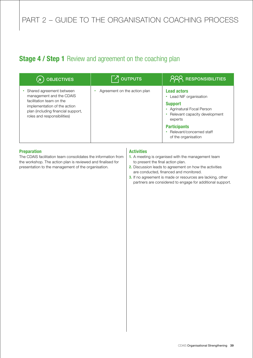## **Stage 4 / Step 1** Review and agreement on the coaching plan

| <b>OBJECTIVES</b>                                                                                                             | $\lceil \mathcal{F}_1 \rceil$ outputs | <b>PRR RESPONSIBILITIES</b>                                                            |
|-------------------------------------------------------------------------------------------------------------------------------|---------------------------------------|----------------------------------------------------------------------------------------|
| Shared agreement between<br>management and the CDAIS                                                                          | Agreement on the action plan          | <b>Lead actors</b><br>Lead NIF organisation<br>۰                                       |
| facilitation team on the<br>implementation of the action<br>plan (including financial support,<br>roles and responsibilities) |                                       | <b>Support</b><br>Agrinatural Focal Person<br>Relevant capacity development<br>experts |
|                                                                                                                               |                                       | <b>Participants</b><br>Relevant/concerned staff<br>of the organisation                 |

## Preparation

The CDAIS facilitation team consolidates the information from the workshop. The action plan is reviewed and finalised for presentation to the management of the organisation.

## Activities

- 1. A meeting is organised with the management team to present the final action plan.
- 2. Discussion leads to agreement on how the activities are conducted, financed and monitored.
- 3. If no agreement is made or resources are lacking, other partners are considered to engage for additional support.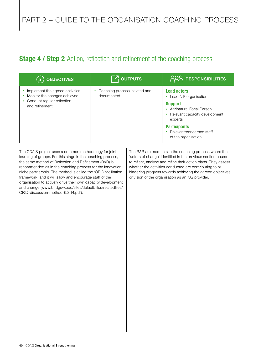## **Stage 4 / Step 2** Action, reflection and refinement of the coaching process

| <b>OBJECTIVES</b>                                               | $\nabla$ <sub>I</sub> outputs                | <b>PRR RESPONSIBILITIES</b>                                                                |
|-----------------------------------------------------------------|----------------------------------------------|--------------------------------------------------------------------------------------------|
| Implement the agreed activities<br>Monitor the changes achieved | Coaching process initiated and<br>documented | <b>Lead actors</b><br>Lead NIF organisation<br>٠                                           |
| Conduct regular reflection<br>and refinement                    |                                              | <b>Support</b><br>• Agrinatural Focal Person<br>• Relevant capacity development<br>experts |
|                                                                 |                                              | <b>Participants</b><br>• Relevant/concerned staff<br>of the organisation                   |

The CDAIS project uses a common methodology for joint learning of groups. For this stage in the coaching process, the same method of Reflection and Refinement (R&R) is recommended as in the coaching process for the innovation niche partnership. The method is called the 'ORID facilitation framework' and it will allow and encourage staff of the organisation to actively drive their own capacity development and change (www.bridgew.edu/sites/default/files/relatedfiles/ ORID-discussion-method-6.3.14.pdf).

The R&R are moments in the coaching process where the 'actors of change' identified in the previous section pause to reflect, analyse and refine their action plans. They assess whether the activities conducted are contributing to or hindering progress towards achieving the agreed objectives or vision of the organisation as an ISS provider.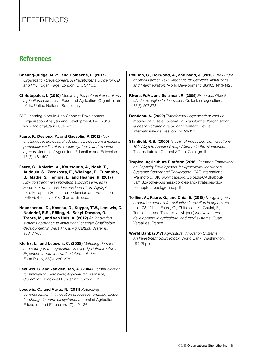## References

## **References**

Cheung-Judge, M.-Y., and Holbeche, L. (2017) *Organization Development: A Practitioner's Guide for OD and HR.* Kogan Page, London, UK. 344pp.

Christopolos, I. (2010) *Mobilizing the potential of rural and agricultural extension.* Food and Agriculture Organization of the United Nations, Rome, Italy.

FAO Learning Module 4 on Capacity Development – Organization Analysis and Development, FAO 2013: www.fao.org/3/a-i3538e.pdf

Faure, F., Desjeux, Y., and Gasselin, P. (2012) *New challenges in agricultural advisory services from a research perspective: a literature review, synthesis and research agenda.* Journal of Agricultural Education and Extension, 18 (5): 461-492.

Faure, G., Knierim, A., Koutsouris, A., Ndah, T., Audouin, S., Zarokosta, E., Wielinga, E., Triomphe, B., Mathé, S., Temple, L., and Heanue, K. (2017) *How to strengthen innovation support services in European rural areas: lessons learnt from AgriSpin.* 23rd European Seminar on Extension and Education (ESEE), 4-7 July 2017, Chania, Greece.

Hounkonnou, D., Kossou, D., Kuyper, T.W., Leeuwis, C., Nederlof, E.S., Röling, N., Sakyi-Dawson, O., Traoré, M., and van Huis, A. (2012) *An innovation systems approach to institutional change: Smallholder development in West Africa. Agricultural Systems, 108: 74-83.*

Klerkx, L., and Leeuwis, C. (2008) *Matching demand and supply in the agricultural knowledge infrastructure: Experiences with innovation intermediaries.* Food Policy, 33(3): 260-276.

Leeuwis, C. and van den Ban, A. (2004) *Communication for Innovation: Rethinking Agricultural Extension, 3rd edition.* Blackwell Publishing, Oxford, UK.

Leeuwis, C., and Aarts, N. (2011) *Rethinking communication in innovation processes: creating space for change in complex systems.* Journal of Agricultural Education and Extension, 17(1): 21-36.

Poulton, C., Dorwood, A., and Kydd, J. (2010) *The Future of Small Farms: New Directions for Services, Institutions, and Intermediation.* World Development, 38(10): 1413-1428.

- Rivera, W.M., and Sulaiman, R. (2009) *Extension: Object of reform, engine for innovation.* Outlook on agriculture, 38(3): 267-273.
- Rondeau. A. (2002) *Transformer l'organisation: vers un modèle de mise en oeuvre. In: Transformer l'organisation: la gestion stratégique du changement.* Revue internationale de Gestion, 24: 91-112.
- Stanfield, R.B. (2000) *The Art of Focussing Conversations: 100 Ways to Access Group Wisdom in the Workplace.*  The Institute for Cultural Affairs, Chicago, IL.

Tropical Agriculture Platform (2016) *Common Framework on Capacity Development for Agricultural Innovation Systems: Conceptual Background.* CAB International, Wallingford, UK. www.cabi.org/Uploads/CABI/aboutus/4.8.5-other-business-policies-and-strategies/tapconceptual-background.pdf

Toillier, A., Faure, G., and Chia, E. (2018) *Designing and organizing support for collective innovation in agriculture.* pp. 108-121, In: Faure, G., Chiffoleau, Y., Goulet, F., Temple, L., and Touzard, J.-M. (eds) *Innovation and development in agricultural and food systems.* Quae, Versailles, France.

World Bank (2017) *Agricultural Innovation Systems. An Investment Sourcebook.* World Bank, Washington, DC. 20pp.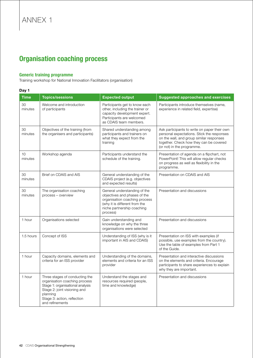## Organisation coaching process

## Generic training programme

Training workshop for National Innovation Facilitators (organisation)

## Day 1

| <b>Time</b>   | <b>Topics/sessions</b>                                                                                                                                                                            | <b>Expected output</b>                                                                                                                                                   | <b>Suggested approaches and exercises</b>                                                                                                                                                                       |
|---------------|---------------------------------------------------------------------------------------------------------------------------------------------------------------------------------------------------|--------------------------------------------------------------------------------------------------------------------------------------------------------------------------|-----------------------------------------------------------------------------------------------------------------------------------------------------------------------------------------------------------------|
| 30<br>minutes | Welcome and introduction<br>of participants                                                                                                                                                       | Participants get to know each<br>other, including the trainer or<br>capacity development expert.<br>Participants are welcomed<br>as CDAIS team members.                  | Participants introduce themselves (name,<br>experience in related field, expertise)                                                                                                                             |
| 30<br>minutes | Objectives of the training (from<br>the organisers and participants)                                                                                                                              | Shared understanding among<br>participants and trainers on<br>what they expect from the<br>training                                                                      | Ask participants to write on paper their own<br>personal expectations. Stick the responses<br>on the wall, and group similar responses<br>together. Check how they can be covered<br>(or not) in the programme. |
| 10<br>minutes | Workshop agenda                                                                                                                                                                                   | Participants understand the<br>schedule of the training.                                                                                                                 | Presentation of agenda on a flipchart, not<br>PowerPoint! This will allow regular checks<br>on progress as well as flexibility in the<br>programme.                                                             |
| 30<br>minutes | Brief on CDAIS and AIS                                                                                                                                                                            | General understanding of the<br>CDAIS project (e.g. objectives<br>and expected results)                                                                                  | Presentation on CDAIS and AIS                                                                                                                                                                                   |
| 30<br>minutes | The organisation coaching<br>process - overview                                                                                                                                                   | General understanding of the<br>objectives and phases of the<br>organisation coaching process<br>(why it is different from the<br>niche partnership coaching<br>process) | Presentation and discussions                                                                                                                                                                                    |
| 1 hour        | Organisations selected                                                                                                                                                                            | Gain understanding and<br>knowledge on why the three<br>organisations were selected                                                                                      | Presentation and discussions                                                                                                                                                                                    |
| 1.5 hours     | Concept of ISS                                                                                                                                                                                    | Understanding of ISS (why is it<br>important in AIS and CDAIS)                                                                                                           | Presentation on ISS with examples (if<br>possible, use examples from the country).<br>Use the table of examples from Part 1<br>of the Guide.                                                                    |
| 1 hour        | Capacity domains, elements and<br>criteria for an ISS provider                                                                                                                                    | Understanding of the domains,<br>elements and criteria for an ISS<br>provider                                                                                            | Presentation and interactive discussions<br>on the elements and criteria. Encourage<br>participants to share experiences to explain<br>why they are important.                                                  |
| 1 hour        | Three stages of conducting the<br>organisation coaching process<br>Stage 1: organisational analysis<br>Stage 2: joint visioning and<br>planning<br>Stage 3: action, reflection<br>and refinements | Understand the stages and<br>resources required (people,<br>time and knowledge)                                                                                          | Presentation and discussions                                                                                                                                                                                    |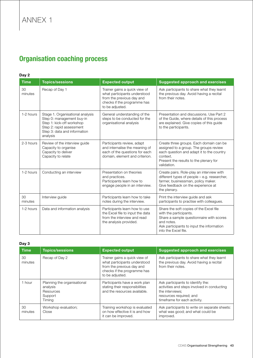## Organisation coaching process

Day 2

| <b>Time</b>   | <b>Topics/sessions</b>                                                                                                                                             | <b>Expected output</b>                                                                                                                       | <b>Suggested approach and exercises</b>                                                                                                                                                             |
|---------------|--------------------------------------------------------------------------------------------------------------------------------------------------------------------|----------------------------------------------------------------------------------------------------------------------------------------------|-----------------------------------------------------------------------------------------------------------------------------------------------------------------------------------------------------|
| 30<br>minutes | Recap of Day 1                                                                                                                                                     | Trainer gains a quick view of<br>what participants understood<br>from the previous day and<br>checks if the programme has<br>to be adjusted. | Ask participants to share what they learnt<br>the previous day. Avoid having a recital<br>from their notes.                                                                                         |
| 1-2 hours     | Stage 1. Organisational analysis<br>Step 0: management buy-in<br>Step 1: kick-off workshop<br>Step 2: rapid assessment<br>Step 3: data and information<br>analysis | General understanding of the<br>steps to be conducted for the<br>organisational analysis                                                     | Presentation and discussions. Use Part 2<br>of the Guide, where details of this process<br>are explained. Give copies of this guide<br>to the participants.                                         |
| 2-3 hours     | Review of the interview guide<br>Capacity to organise<br>Capacity to deliver<br>Capacity to relate                                                                 | Participants review, adapt<br>and internalise the meaning of<br>each of the questions for each<br>domain, element and criterion.             | Create three groups. Each domain can be<br>assigned to a group. The groups review<br>each question and adapt it to the country<br>context.<br>Present the results to the plenary for<br>validation. |
| 1-2 hours     | Conducting an interview                                                                                                                                            | Presentation on theories<br>and practices.<br>Participants learn how to<br>engage people in an interview.                                    | Create pairs. Role-play an interview with<br>different types of people - e.g. researcher,<br>farmer, businessman, policy maker.<br>Give feedback on the experience at<br>the plenary.               |
| 30<br>minutes | Interview guide                                                                                                                                                    | Participants learn how to take<br>notes during the interview.                                                                                | Print the interview guide and ask<br>participants to practise with colleagues.                                                                                                                      |
| 1-2 hours     | Data and information analysis                                                                                                                                      | Participants learn how to use<br>the Excel file to input the data<br>from the interview and read<br>the analysis provided.                   | Share the soft copies of the Excel file<br>with the participants.<br>Share a sample questionnaire with scores<br>and notes.<br>Ask participants to input the information<br>into the Excel file.    |

## Day 3

| <b>Time</b>   | <b>Topics/sessions</b>                                                    | <b>Expected output</b>                                                                                                                       | <b>Suggested approach and exercises</b>                                                                                                                        |
|---------------|---------------------------------------------------------------------------|----------------------------------------------------------------------------------------------------------------------------------------------|----------------------------------------------------------------------------------------------------------------------------------------------------------------|
| 30<br>minutes | Recap of Day 2                                                            | Trainer gains a quick view of<br>what participants understood<br>from the previous day and<br>checks if the programme has<br>to be adjusted. | Ask participants to share what they learnt<br>the previous day. Avoid having a recital<br>from their notes.                                                    |
| 1 hour        | Planning the organisational<br>analysis<br>Resources<br>Support<br>Timing | Participants have a work plan<br>stating their responsibilities<br>and the resources available.                                              | Ask participants to identify the:<br>activities and steps involved in conducting<br>the interviews;<br>resources required; and<br>timeframe for each activity. |
| 30<br>minutes | Workshop evaluation;<br>Close                                             | Training workshop is evaluated<br>on how effective it is and how<br>it can be improved.                                                      | Ask participants to write on separate sheets:<br>what was good; and what could be<br>improved.                                                                 |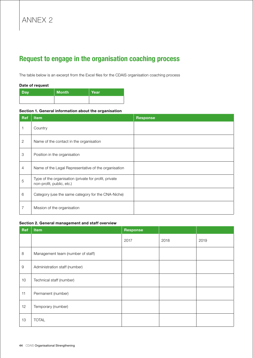# Annex 2

## Request to engage in the organisation coaching process

The table below is an excerpt from the Excel files for the CDAIS organisation coaching process

#### Date of request

| <b>Day</b> | <b>Month</b> | Year |
|------------|--------------|------|
|            |              |      |

#### Section 1. General information about the organisation

| <b>Ref</b>     | <b>Item</b>                                                                        | <b>Response</b> |
|----------------|------------------------------------------------------------------------------------|-----------------|
|                | Country                                                                            |                 |
| $\overline{2}$ | Name of the contact in the organisation                                            |                 |
| 3              | Position in the organisation                                                       |                 |
| $\overline{4}$ | Name of the Legal Representative of the organisation                               |                 |
| 5              | Type of the organisation (private for profit, private<br>non-profit, public, etc.) |                 |
| 6              | Category (use the same category for the CNA-Niche)                                 |                 |
| 7              | Mission of the organisation                                                        |                 |

#### Section 2. General management and staff overview

| Ref         | Item                              | <b>Response</b> |      |      |
|-------------|-----------------------------------|-----------------|------|------|
|             |                                   | 2017            | 2018 | 2019 |
| 8           | Management team (number of staff) |                 |      |      |
| $\mathsf 9$ | Administration staff (number)     |                 |      |      |
| 10          | Technical staff (number)          |                 |      |      |
| 11          | Permanent (number)                |                 |      |      |
| 12          | Temporary (number)                |                 |      |      |
| 13          | <b>TOTAL</b>                      |                 |      |      |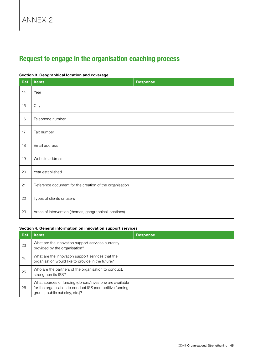## Annex 2

## Request to engage in the organisation coaching process

# Ref | Items | Response 14 Year 15  $\vert$  City 16 | Telephone number 17 | Fax number 18 | Email address 19 | Website address 20 Year established 21 | Reference document for the creation of the organisation 22 | Types of clients or users 23 | Areas of intervention (themes, geographical locations)

#### Section 3. Geographical location and coverage

#### Section 4. General information on innovation support services

| <b>Ref</b> | <b>Items</b>                                                                                                                                            | <b>Response</b> |
|------------|---------------------------------------------------------------------------------------------------------------------------------------------------------|-----------------|
| 23         | What are the innovation support services currently<br>provided by the organisation?                                                                     |                 |
| 24         | What are the innovation support services that the<br>organisation would like to provide in the future?                                                  |                 |
| 25         | Who are the partners of the organisation to conduct,<br>strengthen its ISS?                                                                             |                 |
| 26         | What sources of funding (donors/investors) are available<br>for the organisation to conduct ISS (competitive funding,<br>grants, public subsidy, etc.)? |                 |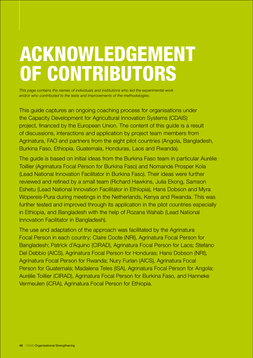# Acknowledgement of contributors

*This page contains the names of individuals and institutions who led the experimental work and/or who contributed to the tests and improvements of the methodologies.*

This guide captures an ongoing coaching process for organisations under the Capacity Development for Agricultural lnnovation Systems (CDAIS) project, financed by the European Union. The content of this guide is a result of discussions, interactions and application by project team members from Agrinatura, FAO and partners from the eight pilot countries (Angola, Bangladesh, Burkina Faso, Ethiopia, Guatemala, Honduras, Laos and Rwanda).

The guide is based on initial ideas from the Burkina Faso team in particular Aurélie Toillier (Agrinatura Focal Person for Burkina Faso) and Nomande Prosper Kola (Lead National Innovation Facilitator in Burkina Faso). Their ideas were further reviewed and refined by a small team (Richard Hawkins, Julia Ekong, Samson Eshetu (Lead National Innovation Facilitator in Ethiopia), Hans Dobson and Myra Wopereis-Pura during meetings in the Netherlands, Kenya and Rwanda. This was further tested and improved through its application in the pilot countries especially in Ethiopia, and Bangladesh with the help of Rozana Wahab (Lead National Innovation Facilitator in Bangladesh).

The use and adaptation of the approach was facilitated by the Agrinatura Focal Person in each country: Claire Coote (NRI), Agrinatura Focal Person for Bangladesh; Patrick d'Aquino (CIRAD), Agrinatura Focal Person for Laos; Stefano Del Debbio (AICS), Agrinatura Focal Person for Honduras; Hans Dobson (NRI), Agrinatura Focal Person for Rwanda; Nury Furlan (AICS), Agrinatura Focal Person for Guatemala; Madalena Teles (ISA), Agrinatura Focal Person for Angola; Aurélie Toillier (CIRAD), Agrinatura Focal Person for Burkina Faso, and Hanneke Vermeulen (iCRA), Agrinatura Focal Person for Ethiopia.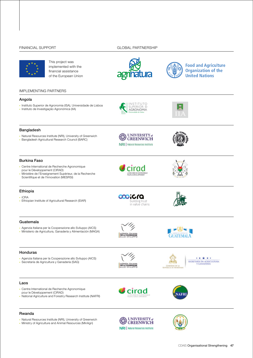#### FINANCIAL SUPPORT GLOBAL PARTNERSHIP



This project was implemented with the financial assistance of the European Union





**Food and Agriculture Organization of the United Nations** 

#### IMPLEMENTING PARTNERS

#### Angola

- Instituto Superior de Agronomia (ISA), Universidade de Lisboa
- Instituto de Investigação Agronómica (IIA)
- AGRONOMIA

**SLIPERIOR** 

 $\Box$ 



#### Bangladesh

- Natural Resources Institute (NRI), University of Greenwich
- Bangladesh Agricultural Research Council (BARC)



cirad



- Centre International de Recherche Agronomique pour le Développement (CIRAD)
- Ministère de l'Enseignement Supérieur, de la Recherche Scientifique et de l'Innovation (MESRSI)

#### Ethiopia

- iCRA
- Ethiopian Institute of Agricultural Research (EIAR)





#### Guatemala

- Agenzia Italiana per la Cooperazione allo Sviluppo (AICS)
- Ministerio de Agricultura, Ganadería y Alimentación (MAGA)

## Honduras

- Agenzia Italiana per la Cooperazione allo Sviluppo (AICS)
- Secretaría de Agricultura y Ganadería (SAG)





\*\*\*\*\* SECRETARÍA DE AGRICULTURA<br>Y GANADERÍA

#### Laos

- Centre International de Recherche Agronomique pour le Développement (CIRAD)
- 
- National Agriculture and Forestry Research Institute (NAFRI)







- Natural Resources Institute (NRI), University of Greenwich
- Ministry of Agriculture and Animal Resources (MinAgri)



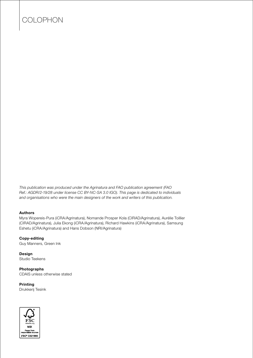## COLOPHON

*This publication was produced under the Agrinatura and FAO publication agreement (FAO Ref.: AGDR/2-19/28 under license CC BY-NC-SA 3.0 IGO). This page is dedicated to individuals and organisations who were the main designers of the work and writers of this publication.*

## Authors

Myra Wopereis-Pura (iCRA/Agrinatura), Nomande Prosper Kola (CIRAD/Agrinatura), Aurélie Toillier (CIRAD/Agrinatura), Julia Ekong (iCRA/Agrinatura), Richard Hawkins (iCRA/Agrinatura), Samsung Eshetu (iCRA/Agrinatura) and Hans Dobson (NRI/Agrinatura)

#### Copy-editing

Guy Manners, Green Ink

Design Studio Teekens

## Photographs

CDAIS unless otherwise stated

## Printing

Drukkerij Tesink